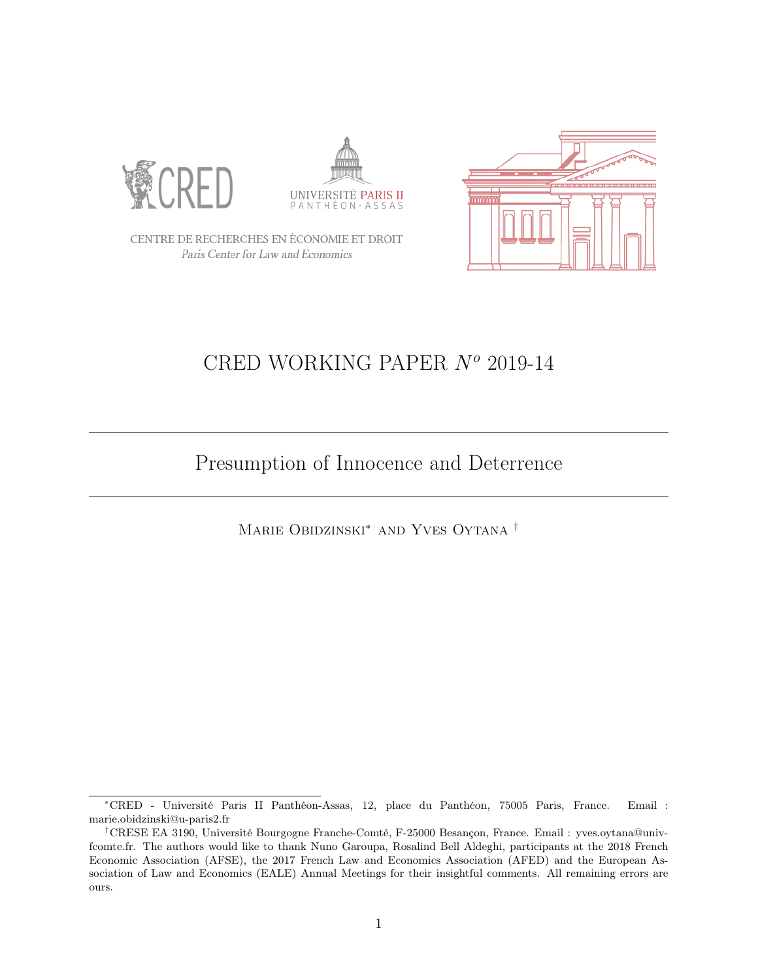





CENTRE DE RECHERCHES EN ÉCONOMIE ET DROIT Paris Center for Law and Economics

# CRED WORKING PAPER  $N<sup>o</sup>$  2019-14

# Presumption of Innocence and Deterrence

Marie Obidzinski<sup>∗</sup> and Yves Oytana †

<sup>∗</sup>CRED - Université Paris II Panthéon-Assas, 12, place du Panthéon, 75005 Paris, France. Email : marie.obidzinski@u-paris2.fr

<sup>†</sup>CRESE EA 3190, Université Bourgogne Franche-Comté, F-25000 Besançon, France. Email : yves.oytana@univfcomte.fr. The authors would like to thank Nuno Garoupa, Rosalind Bell Aldeghi, participants at the 2018 French Economic Association (AFSE), the 2017 French Law and Economics Association (AFED) and the European Association of Law and Economics (EALE) Annual Meetings for their insightful comments. All remaining errors are ours.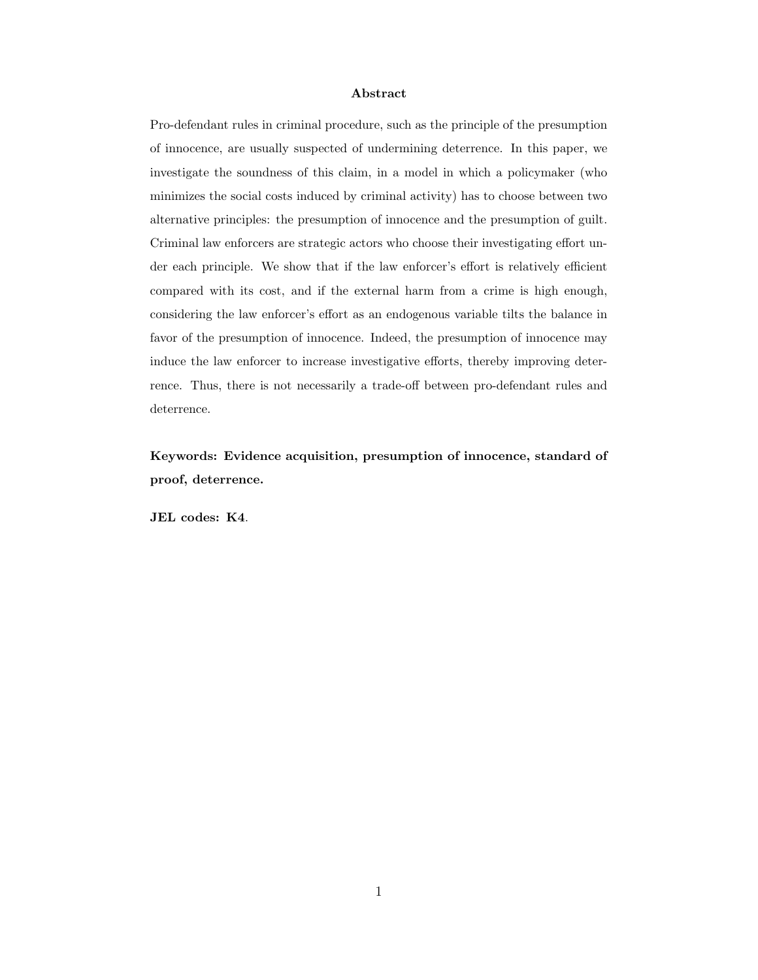#### Abstract

Pro-defendant rules in criminal procedure, such as the principle of the presumption of innocence, are usually suspected of undermining deterrence. In this paper, we investigate the soundness of this claim, in a model in which a policymaker (who minimizes the social costs induced by criminal activity) has to choose between two alternative principles: the presumption of innocence and the presumption of guilt. Criminal law enforcers are strategic actors who choose their investigating effort under each principle. We show that if the law enforcer's effort is relatively efficient compared with its cost, and if the external harm from a crime is high enough, considering the law enforcer's effort as an endogenous variable tilts the balance in favor of the presumption of innocence. Indeed, the presumption of innocence may induce the law enforcer to increase investigative efforts, thereby improving deterrence. Thus, there is not necessarily a trade-off between pro-defendant rules and deterrence.

Keywords: Evidence acquisition, presumption of innocence, standard of proof, deterrence.

JEL codes: K4.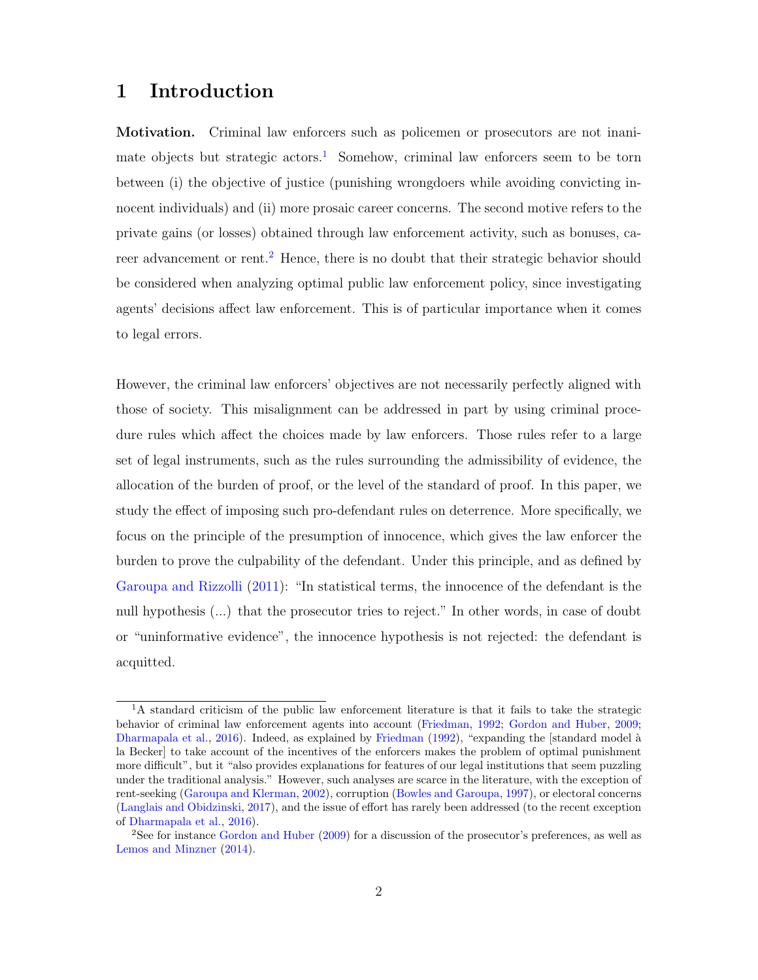# 1 Introduction

Motivation. Criminal law enforcers such as policemen or prosecutors are not inanimate objects but strategic actors.<sup>1</sup> Somehow, criminal law enforcers seem to be torn between (i) the objective of justice (punishing wrongdoers while avoiding convicting innocent individuals) and (ii) more prosaic career concerns. The second motive refers to the private gains (or losses) obtained through law enforcement activity, such as bonuses, career advancement or rent.<sup>2</sup> Hence, there is no doubt that their strategic behavior should be considered when analyzing optimal public law enforcement policy, since investigating agents' decisions affect law enforcement. This is of particular importance when it comes to legal errors.

However, the criminal law enforcers' objectives are not necessarily perfectly aligned with those of society. This misalignment can be addressed in part by using criminal procedure rules which affect the choices made by law enforcers. Those rules refer to a large set of legal instruments, such as the rules surrounding the admissibility of evidence, the allocation of the burden of proof, or the level of the standard of proof. In this paper, we study the effect of imposing such pro-defendant rules on deterrence. More specifically, we focus on the principle of the presumption of innocence, which gives the law enforcer the burden to prove the culpability of the defendant. Under this principle, and as defined by Garoupa and Rizzolli (2011): "In statistical terms, the innocence of the defendant is the null hypothesis  $(...)$  that the prosecutor tries to reject." In other words, in case of doubt or "uninformative evidence", the innocence hypothesis is not rejected: the defendant is acquitted.

<sup>&</sup>lt;sup>1</sup>A standard criticism of the public law enforcement literature is that it fails to take the strategic behavior of criminal law enforcement agents into account (Friedman, 1992; Gordon and Huber, 2009; Dharmapala et al., 2016). Indeed, as explained by Friedman  $(1992)$ , "expanding the [standard model à la Becker] to take account of the incentives of the enforcers makes the problem of optimal punishment more difficult", but it "also provides explanations for features of our legal institutions that seem puzzling under the traditional analysis." However, such analyses are scarce in the literature, with the exception of rent-seeking (Garoupa and Klerman, 2002), corruption (Bowles and Garoupa, 1997), or electoral concerns (Langlais and Obidzinski, 2017), and the issue of effort has rarely been addressed (to the recent exception of Dharmapala et al., 2016).

<sup>2</sup>See for instance Gordon and Huber (2009) for a discussion of the prosecutor's preferences, as well as Lemos and Minzner (2014).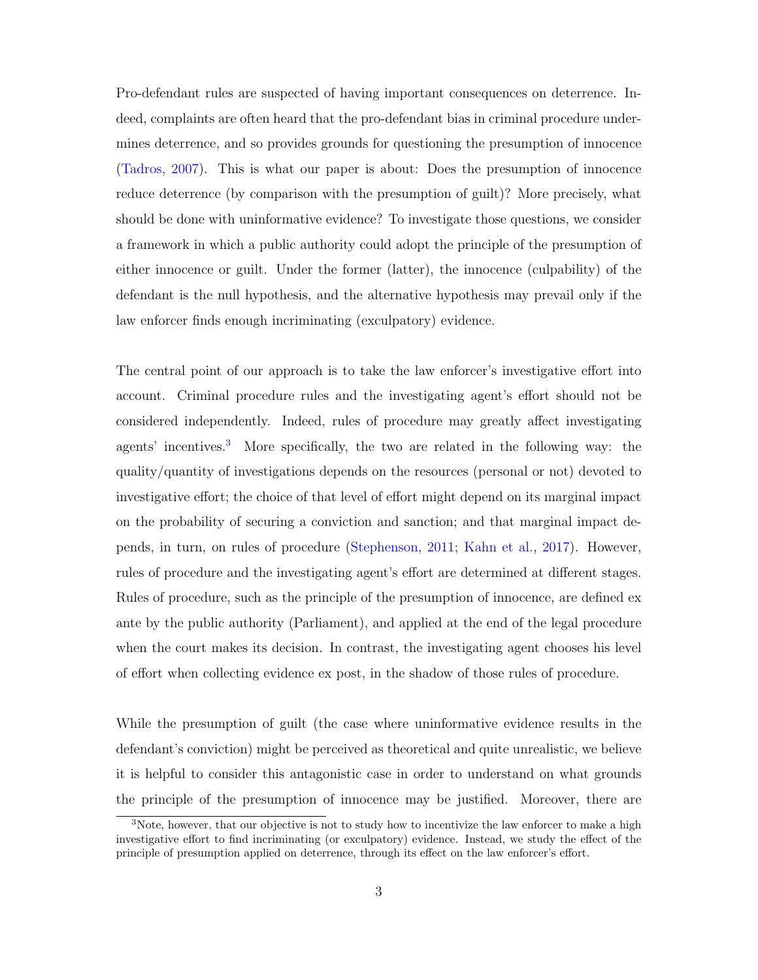Pro-defendant rules are suspected of having important consequences on deterrence. Indeed, complaints are often heard that the pro-defendant bias in criminal procedure undermines deterrence, and so provides grounds for questioning the presumption of innocence (Tadros, 2007). This is what our paper is about: Does the presumption of innocence reduce deterrence (by comparison with the presumption of guilt)? More precisely, what should be done with uninformative evidence? To investigate those questions, we consider a framework in which a public authority could adopt the principle of the presumption of either innocence or guilt. Under the former (latter), the innocence (culpability) of the defendant is the null hypothesis, and the alternative hypothesis may prevail only if the law enforcer finds enough incriminating (exculpatory) evidence.

The central point of our approach is to take the law enforcer's investigative effort into account. Criminal procedure rules and the investigating agent's effort should not be considered independently. Indeed, rules of procedure may greatly affect investigating agents' incentives.<sup>3</sup> More specifically, the two are related in the following way: the quality/quantity of investigations depends on the resources (personal or not) devoted to investigative effort; the choice of that level of effort might depend on its marginal impact on the probability of securing a conviction and sanction; and that marginal impact depends, in turn, on rules of procedure (Stephenson, 2011; Kahn et al., 2017). However, rules of procedure and the investigating agent's effort are determined at different stages. Rules of procedure, such as the principle of the presumption of innocence, are defined ex ante by the public authority (Parliament), and applied at the end of the legal procedure when the court makes its decision. In contrast, the investigating agent chooses his level of effort when collecting evidence ex post, in the shadow of those rules of procedure.

While the presumption of guilt (the case where uninformative evidence results in the defendant's conviction) might be perceived as theoretical and quite unrealistic, we believe it is helpful to consider this antagonistic case in order to understand on what grounds the principle of the presumption of innocence may be justified. Moreover, there are

<sup>&</sup>lt;sup>3</sup>Note, however, that our objective is not to study how to incentivize the law enforcer to make a high investigative effort to find incriminating (or exculpatory) evidence. Instead, we study the effect of the principle of presumption applied on deterrence, through its effect on the law enforcer's effort.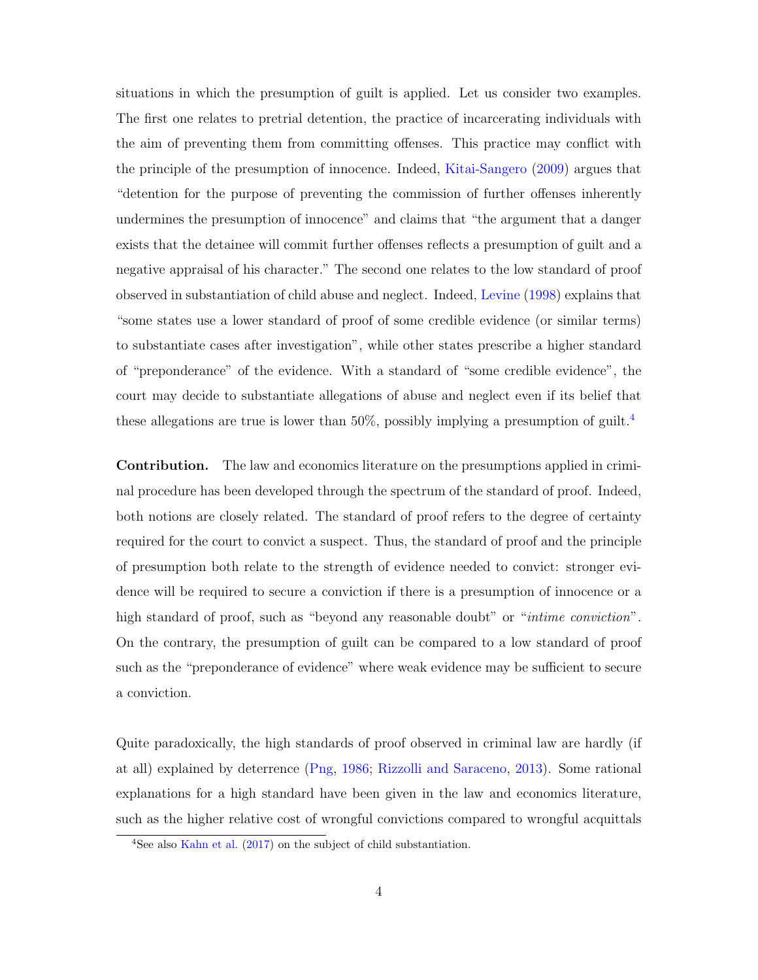situations in which the presumption of guilt is applied. Let us consider two examples. The first one relates to pretrial detention, the practice of incarcerating individuals with the aim of preventing them from committing offenses. This practice may conflict with the principle of the presumption of innocence. Indeed, Kitai-Sangero (2009) argues that "detention for the purpose of preventing the commission of further offenses inherently undermines the presumption of innocence" and claims that "the argument that a danger exists that the detainee will commit further offenses reflects a presumption of guilt and a negative appraisal of his character." The second one relates to the low standard of proof observed in substantiation of child abuse and neglect. Indeed, Levine (1998) explains that "some states use a lower standard of proof of some credible evidence (or similar terms) to substantiate cases after investigation", while other states prescribe a higher standard of "preponderance" of the evidence. With a standard of "some credible evidence", the court may decide to substantiate allegations of abuse and neglect even if its belief that these allegations are true is lower than  $50\%$ , possibly implying a presumption of guilt.<sup>4</sup>

Contribution. The law and economics literature on the presumptions applied in criminal procedure has been developed through the spectrum of the standard of proof. Indeed, both notions are closely related. The standard of proof refers to the degree of certainty required for the court to convict a suspect. Thus, the standard of proof and the principle of presumption both relate to the strength of evidence needed to convict: stronger evidence will be required to secure a conviction if there is a presumption of innocence or a high standard of proof, such as "beyond any reasonable doubt" or "*intime conviction*". On the contrary, the presumption of guilt can be compared to a low standard of proof such as the "preponderance of evidence" where weak evidence may be sufficient to secure a conviction.

Quite paradoxically, the high standards of proof observed in criminal law are hardly (if at all) explained by deterrence (Png, 1986; Rizzolli and Saraceno, 2013). Some rational explanations for a high standard have been given in the law and economics literature, such as the higher relative cost of wrongful convictions compared to wrongful acquittals

<sup>4</sup>See also Kahn et al. (2017) on the subject of child substantiation.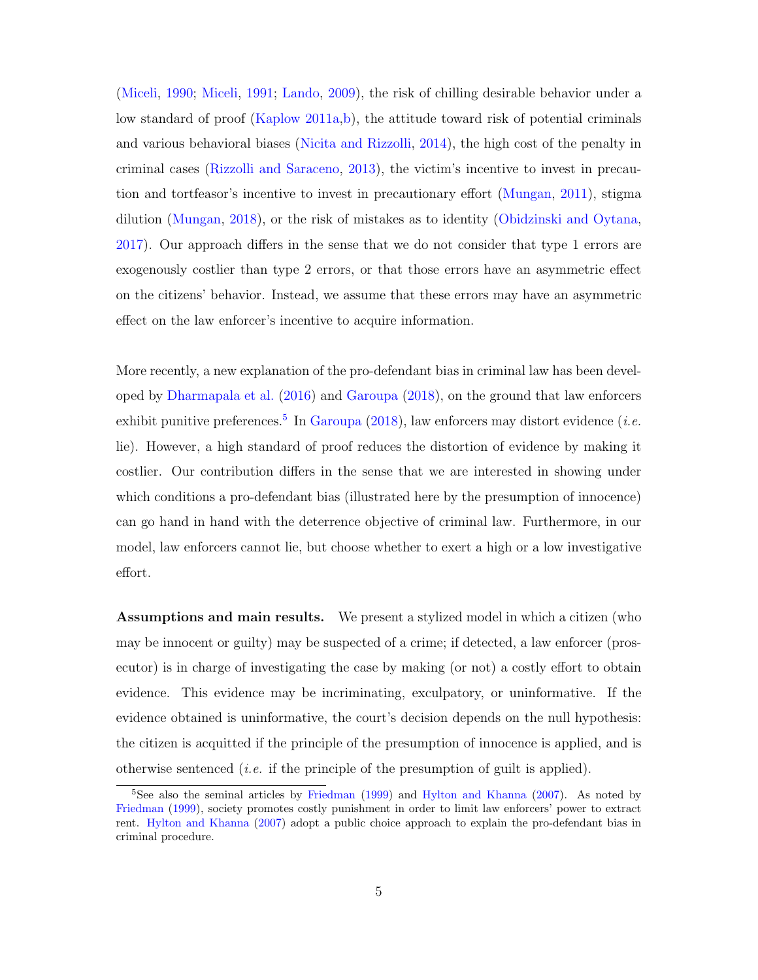(Miceli, 1990; Miceli, 1991; Lando, 2009), the risk of chilling desirable behavior under a low standard of proof (Kaplow 2011a,b), the attitude toward risk of potential criminals and various behavioral biases (Nicita and Rizzolli, 2014), the high cost of the penalty in criminal cases (Rizzolli and Saraceno, 2013), the victim's incentive to invest in precaution and tortfeasor's incentive to invest in precautionary effort (Mungan, 2011), stigma dilution (Mungan, 2018), or the risk of mistakes as to identity (Obidzinski and Oytana, 2017). Our approach differs in the sense that we do not consider that type 1 errors are exogenously costlier than type 2 errors, or that those errors have an asymmetric effect on the citizens' behavior. Instead, we assume that these errors may have an asymmetric effect on the law enforcer's incentive to acquire information.

More recently, a new explanation of the pro-defendant bias in criminal law has been developed by Dharmapala et al. (2016) and Garoupa (2018), on the ground that law enforcers exhibit punitive preferences.<sup>5</sup> In Garoupa (2018), law enforcers may distort evidence (*i.e.* lie). However, a high standard of proof reduces the distortion of evidence by making it costlier. Our contribution differs in the sense that we are interested in showing under which conditions a pro-defendant bias (illustrated here by the presumption of innocence) can go hand in hand with the deterrence objective of criminal law. Furthermore, in our model, law enforcers cannot lie, but choose whether to exert a high or a low investigative effort.

Assumptions and main results. We present a stylized model in which a citizen (who may be innocent or guilty) may be suspected of a crime; if detected, a law enforcer (prosecutor) is in charge of investigating the case by making (or not) a costly effort to obtain evidence. This evidence may be incriminating, exculpatory, or uninformative. If the evidence obtained is uninformative, the court's decision depends on the null hypothesis: the citizen is acquitted if the principle of the presumption of innocence is applied, and is otherwise sentenced *(i.e.* if the principle of the presumption of guilt is applied).

<sup>5</sup>See also the seminal articles by Friedman (1999) and Hylton and Khanna (2007). As noted by Friedman (1999), society promotes costly punishment in order to limit law enforcers' power to extract rent. Hylton and Khanna (2007) adopt a public choice approach to explain the pro-defendant bias in criminal procedure.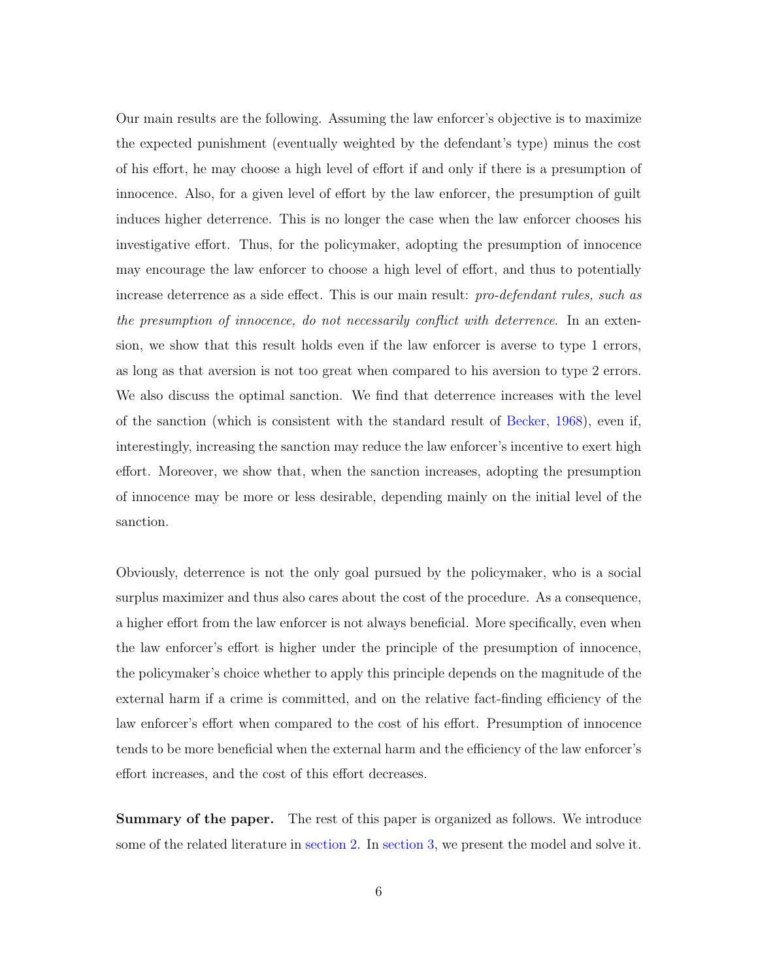Our main results are the following. Assuming the law enforcer's objective is to maximize the expected punishment (eventually weighted by the defendant's type) minus the cost of his effort, he may choose a high level of effort if and only if there is a presumption of innocence. Also, for a given level of effort by the law enforcer, the presumption of guilt induces higher deterrence. This is no longer the case when the law enforcer chooses his investigative effort. Thus, for the policymaker, adopting the presumption of innocence may encourage the law enforcer to choose a high level of effort, and thus to potentially increase deterrence as a side effect. This is our main result: pro-defendant rules, such as the presumption of innocence, do not necessarily conflict with deterrence. In an extension, we show that this result holds even if the law enforcer is averse to type 1 errors, as long as that aversion is not too great when compared to his aversion to type 2 errors. We also discuss the optimal sanction. We find that deterrence increases with the level of the sanction (which is consistent with the standard result of Becker, 1968), even if, interestingly, increasing the sanction may reduce the law enforcer's incentive to exert high effort. Moreover, we show that, when the sanction increases, adopting the presumption of innocence may be more or less desirable, depending mainly on the initial level of the sanction.

Obviously, deterrence is not the only goal pursued by the policymaker, who is a social surplus maximizer and thus also cares about the cost of the procedure. As a consequence, a higher effort from the law enforcer is not always beneficial. More specifically, even when the law enforcer's effort is higher under the principle of the presumption of innocence, the policymaker's choice whether to apply this principle depends on the magnitude of the external harm if a crime is committed, and on the relative fact-finding efficiency of the law enforcer's effort when compared to the cost of his effort. Presumption of innocence tends to be more beneficial when the external harm and the efficiency of the law enforcer's effort increases, and the cost of this effort decreases.

Summary of the paper. The rest of this paper is organized as follows. We introduce some of the related literature in section 2. In section 3, we present the model and solve it.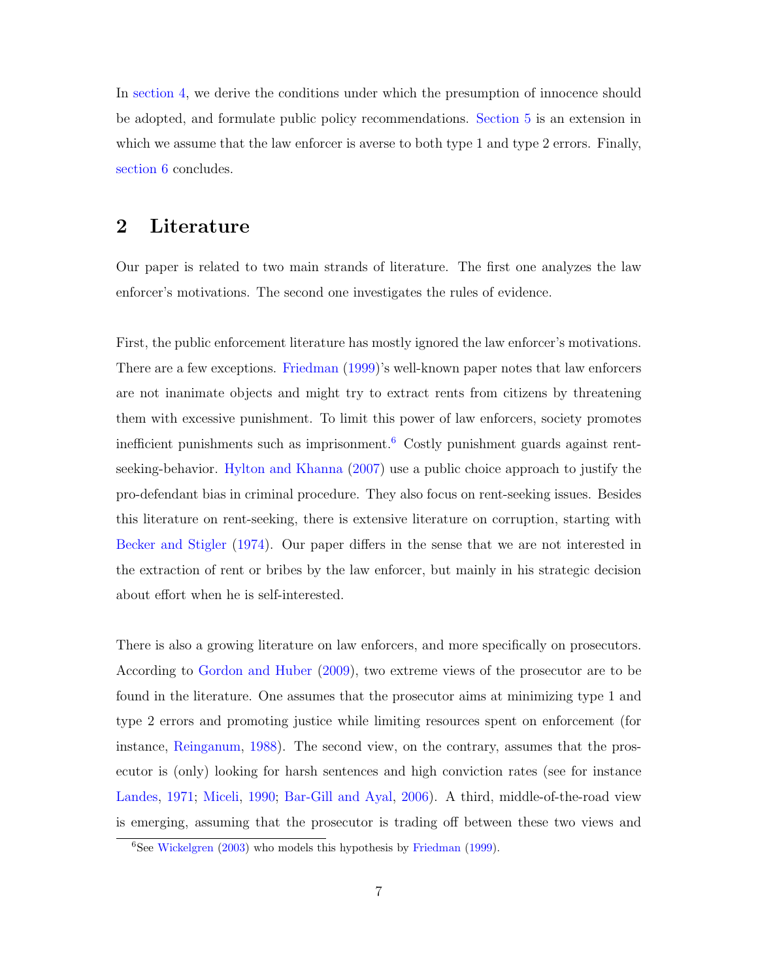In section 4, we derive the conditions under which the presumption of innocence should be adopted, and formulate public policy recommendations. Section 5 is an extension in which we assume that the law enforcer is averse to both type 1 and type 2 errors. Finally, section 6 concludes.

## 2 Literature

Our paper is related to two main strands of literature. The first one analyzes the law enforcer's motivations. The second one investigates the rules of evidence.

First, the public enforcement literature has mostly ignored the law enforcer's motivations. There are a few exceptions. Friedman (1999)'s well-known paper notes that law enforcers are not inanimate objects and might try to extract rents from citizens by threatening them with excessive punishment. To limit this power of law enforcers, society promotes inefficient punishments such as imprisonment.<sup>6</sup> Costly punishment guards against rentseeking-behavior. Hylton and Khanna (2007) use a public choice approach to justify the pro-defendant bias in criminal procedure. They also focus on rent-seeking issues. Besides this literature on rent-seeking, there is extensive literature on corruption, starting with Becker and Stigler (1974). Our paper differs in the sense that we are not interested in the extraction of rent or bribes by the law enforcer, but mainly in his strategic decision about effort when he is self-interested.

There is also a growing literature on law enforcers, and more specifically on prosecutors. According to Gordon and Huber (2009), two extreme views of the prosecutor are to be found in the literature. One assumes that the prosecutor aims at minimizing type 1 and type 2 errors and promoting justice while limiting resources spent on enforcement (for instance, Reinganum, 1988). The second view, on the contrary, assumes that the prosecutor is (only) looking for harsh sentences and high conviction rates (see for instance Landes, 1971; Miceli, 1990; Bar-Gill and Ayal, 2006). A third, middle-of-the-road view is emerging, assuming that the prosecutor is trading off between these two views and

 ${}^{6}$ See Wickelgren (2003) who models this hypothesis by Friedman (1999).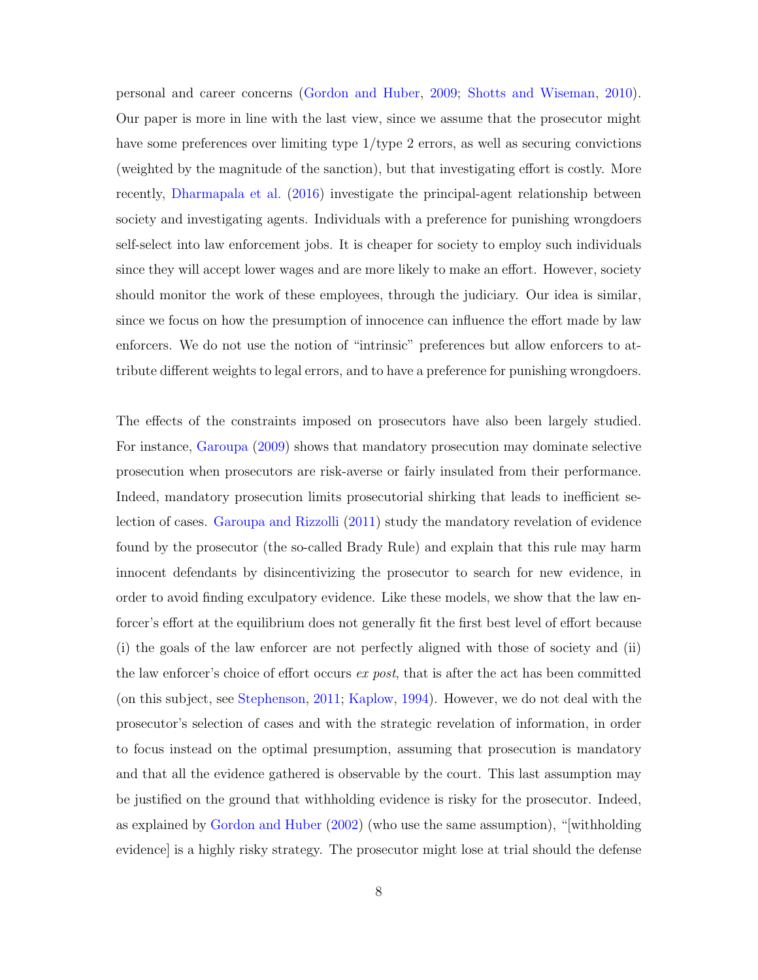personal and career concerns (Gordon and Huber, 2009; Shotts and Wiseman, 2010). Our paper is more in line with the last view, since we assume that the prosecutor might have some preferences over limiting type 1/type 2 errors, as well as securing convictions (weighted by the magnitude of the sanction), but that investigating effort is costly. More recently, Dharmapala et al. (2016) investigate the principal-agent relationship between society and investigating agents. Individuals with a preference for punishing wrongdoers self-select into law enforcement jobs. It is cheaper for society to employ such individuals since they will accept lower wages and are more likely to make an effort. However, society should monitor the work of these employees, through the judiciary. Our idea is similar, since we focus on how the presumption of innocence can influence the effort made by law enforcers. We do not use the notion of "intrinsic" preferences but allow enforcers to attribute different weights to legal errors, and to have a preference for punishing wrongdoers.

The effects of the constraints imposed on prosecutors have also been largely studied. For instance, Garoupa (2009) shows that mandatory prosecution may dominate selective prosecution when prosecutors are risk-averse or fairly insulated from their performance. Indeed, mandatory prosecution limits prosecutorial shirking that leads to inefficient selection of cases. Garoupa and Rizzolli (2011) study the mandatory revelation of evidence found by the prosecutor (the so-called Brady Rule) and explain that this rule may harm innocent defendants by disincentivizing the prosecutor to search for new evidence, in order to avoid finding exculpatory evidence. Like these models, we show that the law enforcer's effort at the equilibrium does not generally fit the first best level of effort because (i) the goals of the law enforcer are not perfectly aligned with those of society and (ii) the law enforcer's choice of effort occurs  $ex$  post, that is after the act has been committed (on this subject, see Stephenson, 2011; Kaplow, 1994). However, we do not deal with the prosecutor's selection of cases and with the strategic revelation of information, in order to focus instead on the optimal presumption, assuming that prosecution is mandatory and that all the evidence gathered is observable by the court. This last assumption may be justified on the ground that withholding evidence is risky for the prosecutor. Indeed, as explained by Gordon and Huber (2002) (who use the same assumption), "[withholding evidence] is a highly risky strategy. The prosecutor might lose at trial should the defense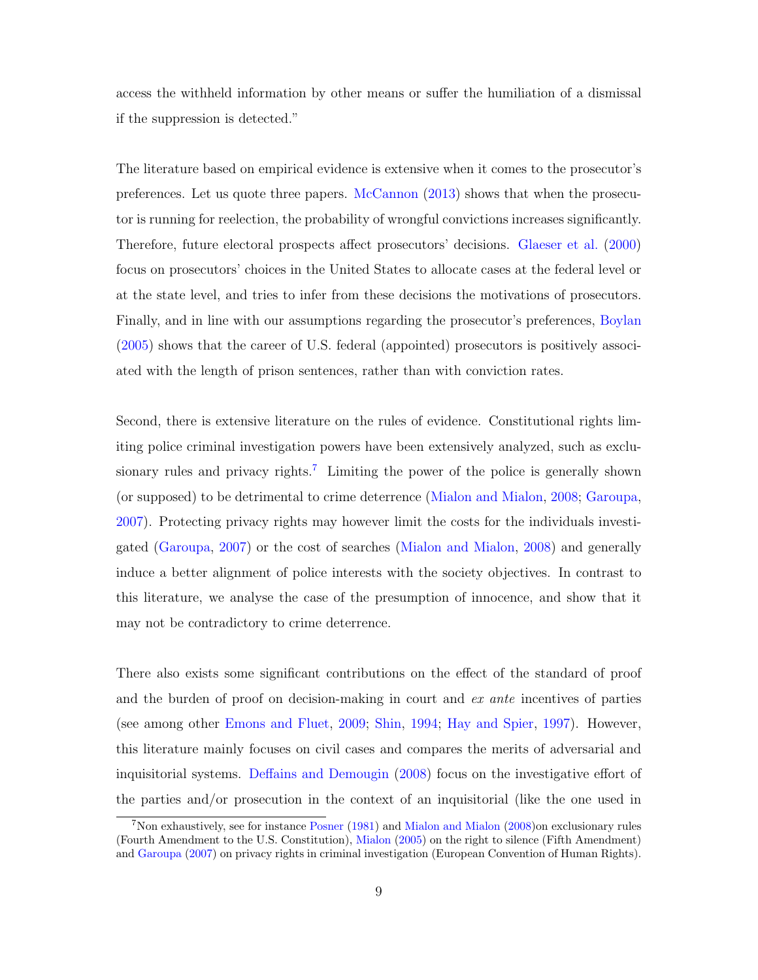access the withheld information by other means or suffer the humiliation of a dismissal if the suppression is detected."

The literature based on empirical evidence is extensive when it comes to the prosecutor's preferences. Let us quote three papers. McCannon (2013) shows that when the prosecutor is running for reelection, the probability of wrongful convictions increases significantly. Therefore, future electoral prospects affect prosecutors' decisions. Glaeser et al. (2000) focus on prosecutors' choices in the United States to allocate cases at the federal level or at the state level, and tries to infer from these decisions the motivations of prosecutors. Finally, and in line with our assumptions regarding the prosecutor's preferences, Boylan (2005) shows that the career of U.S. federal (appointed) prosecutors is positively associated with the length of prison sentences, rather than with conviction rates.

Second, there is extensive literature on the rules of evidence. Constitutional rights limiting police criminal investigation powers have been extensively analyzed, such as exclusionary rules and privacy rights.<sup>7</sup> Limiting the power of the police is generally shown (or supposed) to be detrimental to crime deterrence (Mialon and Mialon, 2008; Garoupa, 2007). Protecting privacy rights may however limit the costs for the individuals investigated (Garoupa, 2007) or the cost of searches (Mialon and Mialon, 2008) and generally induce a better alignment of police interests with the society objectives. In contrast to this literature, we analyse the case of the presumption of innocence, and show that it may not be contradictory to crime deterrence.

There also exists some significant contributions on the effect of the standard of proof and the burden of proof on decision-making in court and ex ante incentives of parties (see among other Emons and Fluet, 2009; Shin, 1994; Hay and Spier, 1997). However, this literature mainly focuses on civil cases and compares the merits of adversarial and inquisitorial systems. Deffains and Demougin (2008) focus on the investigative effort of the parties and/or prosecution in the context of an inquisitorial (like the one used in

<sup>7</sup>Non exhaustively, see for instance Posner (1981) and Mialon and Mialon (2008)on exclusionary rules (Fourth Amendment to the U.S. Constitution), Mialon (2005) on the right to silence (Fifth Amendment) and Garoupa (2007) on privacy rights in criminal investigation (European Convention of Human Rights).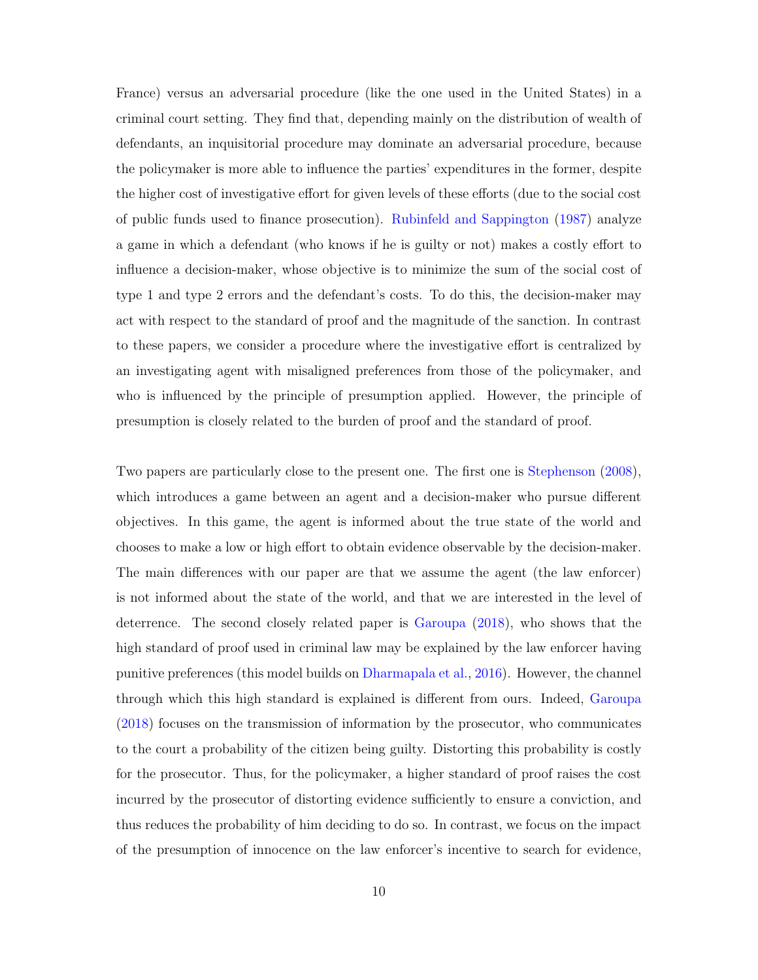France) versus an adversarial procedure (like the one used in the United States) in a criminal court setting. They find that, depending mainly on the distribution of wealth of defendants, an inquisitorial procedure may dominate an adversarial procedure, because the policymaker is more able to influence the parties' expenditures in the former, despite the higher cost of investigative effort for given levels of these efforts (due to the social cost of public funds used to finance prosecution). Rubinfeld and Sappington (1987) analyze a game in which a defendant (who knows if he is guilty or not) makes a costly effort to influence a decision-maker, whose objective is to minimize the sum of the social cost of type 1 and type 2 errors and the defendant's costs. To do this, the decision-maker may act with respect to the standard of proof and the magnitude of the sanction. In contrast to these papers, we consider a procedure where the investigative effort is centralized by an investigating agent with misaligned preferences from those of the policymaker, and who is influenced by the principle of presumption applied. However, the principle of presumption is closely related to the burden of proof and the standard of proof.

Two papers are particularly close to the present one. The first one is Stephenson (2008), which introduces a game between an agent and a decision-maker who pursue different objectives. In this game, the agent is informed about the true state of the world and chooses to make a low or high effort to obtain evidence observable by the decision-maker. The main differences with our paper are that we assume the agent (the law enforcer) is not informed about the state of the world, and that we are interested in the level of deterrence. The second closely related paper is Garoupa (2018), who shows that the high standard of proof used in criminal law may be explained by the law enforcer having punitive preferences (this model builds on Dharmapala et al., 2016). However, the channel through which this high standard is explained is different from ours. Indeed, Garoupa (2018) focuses on the transmission of information by the prosecutor, who communicates to the court a probability of the citizen being guilty. Distorting this probability is costly for the prosecutor. Thus, for the policymaker, a higher standard of proof raises the cost incurred by the prosecutor of distorting evidence sufficiently to ensure a conviction, and thus reduces the probability of him deciding to do so. In contrast, we focus on the impact of the presumption of innocence on the law enforcer's incentive to search for evidence,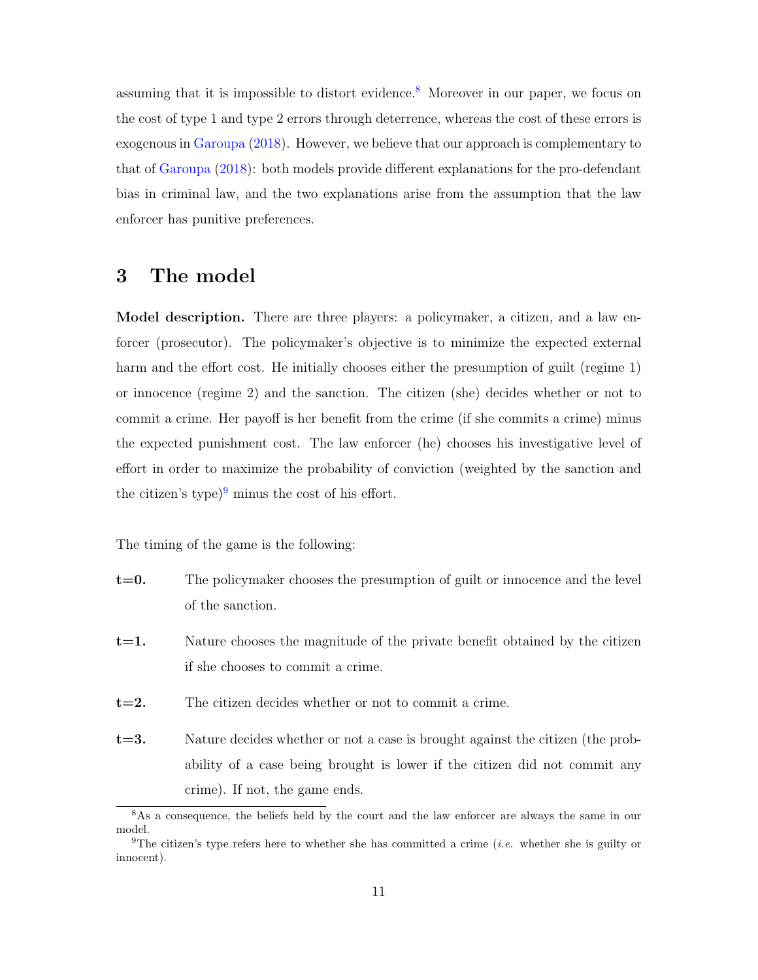assuming that it is impossible to distort evidence.<sup>8</sup> Moreover in our paper, we focus on the cost of type 1 and type 2 errors through deterrence, whereas the cost of these errors is exogenous in Garoupa (2018). However, we believe that our approach is complementary to that of Garoupa (2018): both models provide different explanations for the pro-defendant bias in criminal law, and the two explanations arise from the assumption that the law enforcer has punitive preferences.

# 3 The model

Model description. There are three players: a policymaker, a citizen, and a law enforcer (prosecutor). The policymaker's objective is to minimize the expected external harm and the effort cost. He initially chooses either the presumption of guilt (regime 1) or innocence (regime 2) and the sanction. The citizen (she) decides whether or not to commit a crime. Her payoff is her benefit from the crime (if she commits a crime) minus the expected punishment cost. The law enforcer (he) chooses his investigative level of effort in order to maximize the probability of conviction (weighted by the sanction and the citizen's type)<sup>9</sup> minus the cost of his effort.

The timing of the game is the following:

- t=0. The policymaker chooses the presumption of guilt or innocence and the level of the sanction.
- $t=1$ . Nature chooses the magnitude of the private benefit obtained by the citizen if she chooses to commit a crime.
- $t=2$ . The citizen decides whether or not to commit a crime.
- t=3. Nature decides whether or not a case is brought against the citizen (the probability of a case being brought is lower if the citizen did not commit any crime). If not, the game ends.

<sup>&</sup>lt;sup>8</sup>As a consequence, the beliefs held by the court and the law enforcer are always the same in our model.

<sup>&</sup>lt;sup>9</sup>The citizen's type refers here to whether she has committed a crime (*i.e.* whether she is guilty or innocent).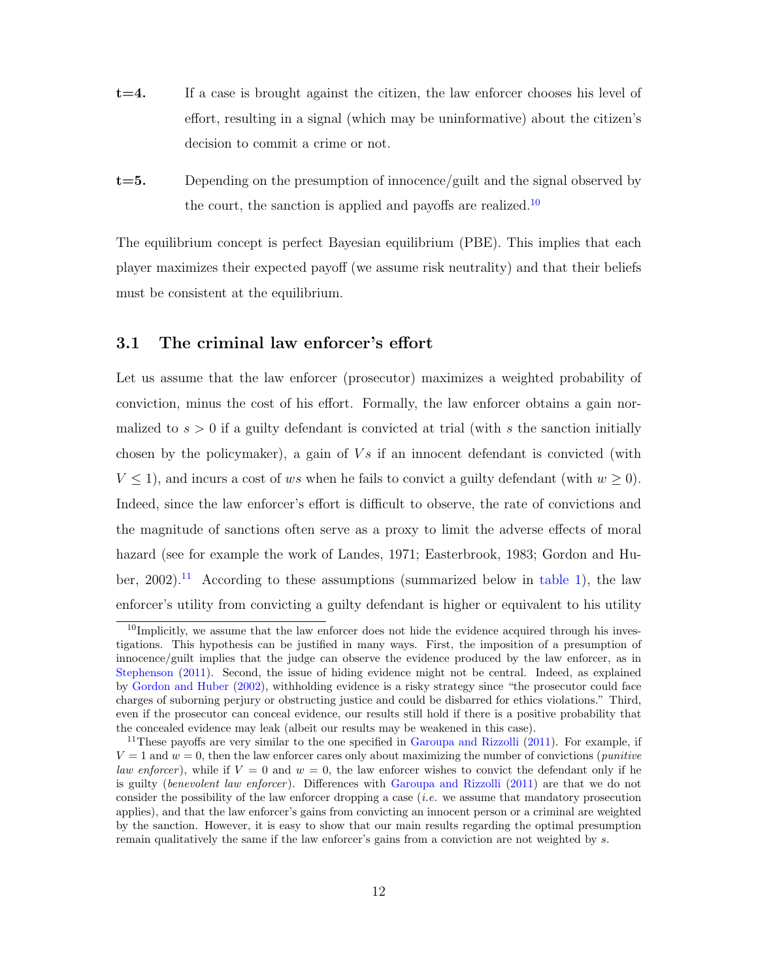- $t=4$ . If a case is brought against the citizen, the law enforcer chooses his level of effort, resulting in a signal (which may be uninformative) about the citizen's decision to commit a crime or not.
- $t=5.$  Depending on the presumption of innocence/guilt and the signal observed by the court, the sanction is applied and payoffs are realized.<sup>10</sup>

The equilibrium concept is perfect Bayesian equilibrium (PBE). This implies that each player maximizes their expected payoff (we assume risk neutrality) and that their beliefs must be consistent at the equilibrium.

### 3.1 The criminal law enforcer's effort

Let us assume that the law enforcer (prosecutor) maximizes a weighted probability of conviction, minus the cost of his effort. Formally, the law enforcer obtains a gain normalized to  $s > 0$  if a guilty defendant is convicted at trial (with s the sanction initially chosen by the policymaker), a gain of  $Vs$  if an innocent defendant is convicted (with  $V \le 1$ , and incurs a cost of ws when he fails to convict a guilty defendant (with  $w \ge 0$ ). Indeed, since the law enforcer's effort is difficult to observe, the rate of convictions and the magnitude of sanctions often serve as a proxy to limit the adverse effects of moral hazard (see for example the work of Landes, 1971; Easterbrook, 1983; Gordon and Huber, 2002).<sup>11</sup> According to these assumptions (summarized below in table 1), the law enforcer's utility from convicting a guilty defendant is higher or equivalent to his utility

<sup>&</sup>lt;sup>10</sup>Implicitly, we assume that the law enforcer does not hide the evidence acquired through his investigations. This hypothesis can be justified in many ways. First, the imposition of a presumption of innocence/guilt implies that the judge can observe the evidence produced by the law enforcer, as in Stephenson (2011). Second, the issue of hiding evidence might not be central. Indeed, as explained by Gordon and Huber (2002), withholding evidence is a risky strategy since "the prosecutor could face charges of suborning perjury or obstructing justice and could be disbarred for ethics violations." Third, even if the prosecutor can conceal evidence, our results still hold if there is a positive probability that the concealed evidence may leak (albeit our results may be weakened in this case).

<sup>&</sup>lt;sup>11</sup>These payoffs are very similar to the one specified in Garoupa and Rizzolli (2011). For example, if  $V = 1$  and  $w = 0$ , then the law enforcer cares only about maximizing the number of convictions (*punitive* law enforcer), while if  $V = 0$  and  $w = 0$ , the law enforcer wishes to convict the defendant only if he is guilty (benevolent law enforcer). Differences with Garoupa and Rizzolli (2011) are that we do not consider the possibility of the law enforcer dropping a case (i.e. we assume that mandatory prosecution applies), and that the law enforcer's gains from convicting an innocent person or a criminal are weighted by the sanction. However, it is easy to show that our main results regarding the optimal presumption remain qualitatively the same if the law enforcer's gains from a conviction are not weighted by s.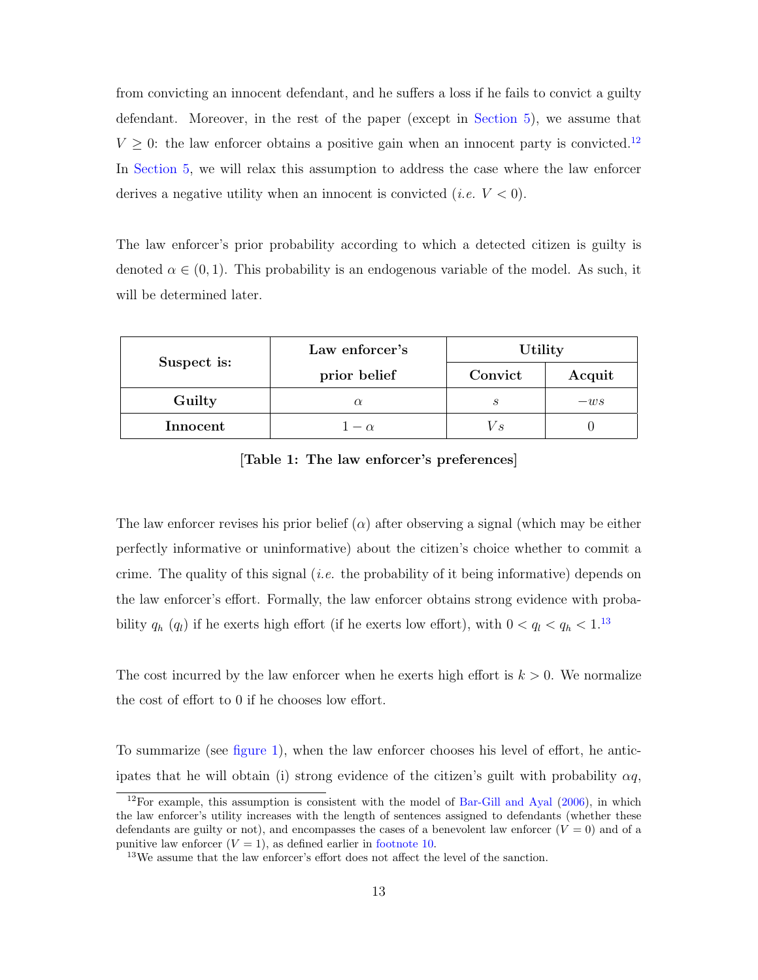from convicting an innocent defendant, and he suffers a loss if he fails to convict a guilty defendant. Moreover, in the rest of the paper (except in Section 5), we assume that  $V \geq 0$ : the law enforcer obtains a positive gain when an innocent party is convicted.<sup>12</sup> In Section 5, we will relax this assumption to address the case where the law enforcer derives a negative utility when an innocent is convicted (*i.e.*  $V < 0$ ).

The law enforcer's prior probability according to which a detected citizen is guilty is denoted  $\alpha \in (0, 1)$ . This probability is an endogenous variable of the model. As such, it will be determined later.

| Suspect is: | Law enforcer's | Utility |        |
|-------------|----------------|---------|--------|
|             | prior belief   | Convict | Acquit |
| Guilty      | $\alpha$       | S       | $-ws$  |
| Innocent    | $1-\alpha$     | V s     |        |

[Table 1: The law enforcer's preferences]

The law enforcer revises his prior belief  $(\alpha)$  after observing a signal (which may be either perfectly informative or uninformative) about the citizen's choice whether to commit a crime. The quality of this signal (i.e. the probability of it being informative) depends on the law enforcer's effort. Formally, the law enforcer obtains strong evidence with probability  $q_h$   $(q_l)$  if he exerts high effort (if he exerts low effort), with  $0 < q_l < q_h < 1$ .<sup>13</sup>

The cost incurred by the law enforcer when he exerts high effort is  $k > 0$ . We normalize the cost of effort to 0 if he chooses low effort.

To summarize (see figure 1), when the law enforcer chooses his level of effort, he anticipates that he will obtain (i) strong evidence of the citizen's guilt with probability  $\alpha q$ ,

 $12$ For example, this assumption is consistent with the model of Bar-Gill and Ayal (2006), in which the law enforcer's utility increases with the length of sentences assigned to defendants (whether these defendants are guilty or not), and encompasses the cases of a benevolent law enforcer  $(V = 0)$  and of a punitive law enforcer  $(V = 1)$ , as defined earlier in footnote 10.

<sup>13</sup>We assume that the law enforcer's effort does not affect the level of the sanction.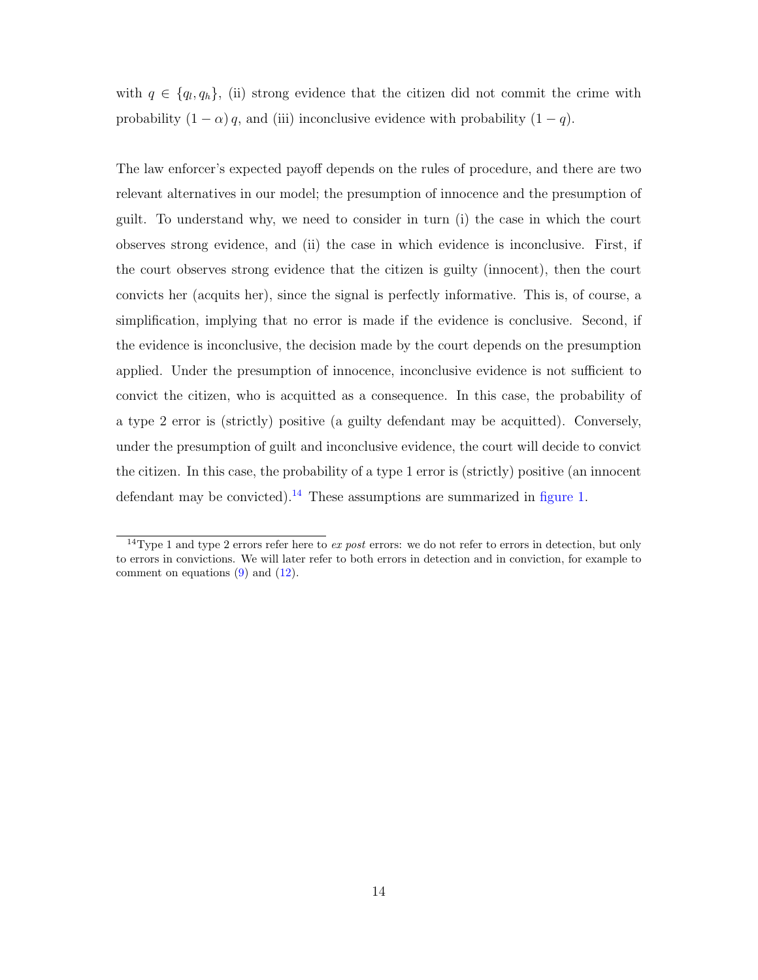with  $q \in \{q_l, q_h\}$ , (ii) strong evidence that the citizen did not commit the crime with probability  $(1 - \alpha) q$ , and (iii) inconclusive evidence with probability  $(1 - q)$ .

The law enforcer's expected payoff depends on the rules of procedure, and there are two relevant alternatives in our model; the presumption of innocence and the presumption of guilt. To understand why, we need to consider in turn (i) the case in which the court observes strong evidence, and (ii) the case in which evidence is inconclusive. First, if the court observes strong evidence that the citizen is guilty (innocent), then the court convicts her (acquits her), since the signal is perfectly informative. This is, of course, a simplification, implying that no error is made if the evidence is conclusive. Second, if the evidence is inconclusive, the decision made by the court depends on the presumption applied. Under the presumption of innocence, inconclusive evidence is not sufficient to convict the citizen, who is acquitted as a consequence. In this case, the probability of a type 2 error is (strictly) positive (a guilty defendant may be acquitted). Conversely, under the presumption of guilt and inconclusive evidence, the court will decide to convict the citizen. In this case, the probability of a type 1 error is (strictly) positive (an innocent defendant may be convicted).<sup>14</sup> These assumptions are summarized in figure 1.

<sup>&</sup>lt;sup>14</sup>Type 1 and type 2 errors refer here to *ex post* errors: we do not refer to errors in detection, but only to errors in convictions. We will later refer to both errors in detection and in conviction, for example to comment on equations (9) and (12).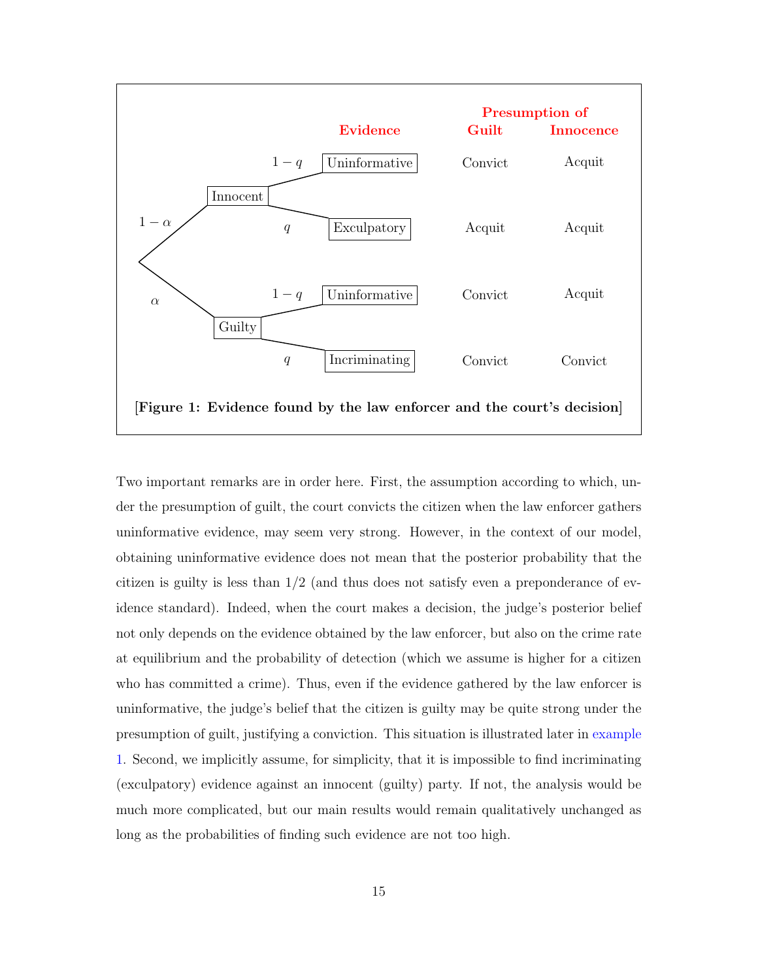

Two important remarks are in order here. First, the assumption according to which, under the presumption of guilt, the court convicts the citizen when the law enforcer gathers uninformative evidence, may seem very strong. However, in the context of our model, obtaining uninformative evidence does not mean that the posterior probability that the citizen is guilty is less than  $1/2$  (and thus does not satisfy even a preponderance of evidence standard). Indeed, when the court makes a decision, the judge's posterior belief not only depends on the evidence obtained by the law enforcer, but also on the crime rate at equilibrium and the probability of detection (which we assume is higher for a citizen who has committed a crime). Thus, even if the evidence gathered by the law enforcer is uninformative, the judge's belief that the citizen is guilty may be quite strong under the presumption of guilt, justifying a conviction. This situation is illustrated later in example 1. Second, we implicitly assume, for simplicity, that it is impossible to find incriminating (exculpatory) evidence against an innocent (guilty) party. If not, the analysis would be much more complicated, but our main results would remain qualitatively unchanged as long as the probabilities of finding such evidence are not too high.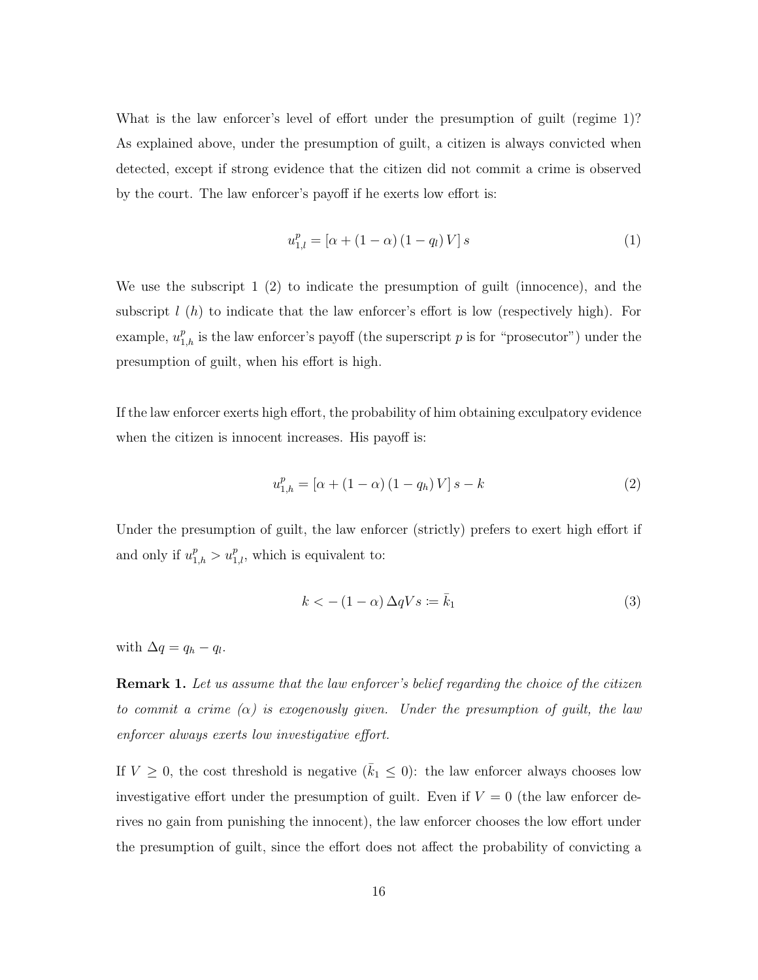What is the law enforcer's level of effort under the presumption of guilt (regime 1)? As explained above, under the presumption of guilt, a citizen is always convicted when detected, except if strong evidence that the citizen did not commit a crime is observed by the court. The law enforcer's payoff if he exerts low effort is:

$$
u_{1,l}^p = \left[\alpha + (1 - \alpha)(1 - q_l)V\right]s\tag{1}
$$

We use the subscript  $1\ (2)$  to indicate the presumption of guilt (innocence), and the subscript  $l(h)$  to indicate that the law enforcer's effort is low (respectively high). For example,  $u_{1,h}^p$  is the law enforcer's payoff (the superscript p is for "prosecutor") under the presumption of guilt, when his effort is high.

If the law enforcer exerts high effort, the probability of him obtaining exculpatory evidence when the citizen is innocent increases. His payoff is:

$$
u_{1,h}^{p} = [\alpha + (1 - \alpha) (1 - q_h) V] s - k
$$
\n(2)

Under the presumption of guilt, the law enforcer (strictly) prefers to exert high effort if and only if  $u_{1,h}^p > u_{1,l}^p$ , which is equivalent to:

$$
k < - (1 - \alpha) \Delta q V s \coloneqq \bar{k}_1 \tag{3}
$$

with  $\Delta q = q_h - q_l$ .

**Remark 1.** Let us assume that the law enforcer's belief regarding the choice of the citizen to commit a crime  $(\alpha)$  is exogenously given. Under the presumption of guilt, the law enforcer always exerts low investigative effort.

If  $V \geq 0$ , the cost threshold is negative  $(\bar{k}_1 \leq 0)$ : the law enforcer always chooses low investigative effort under the presumption of guilt. Even if  $V = 0$  (the law enforcer derives no gain from punishing the innocent), the law enforcer chooses the low effort under the presumption of guilt, since the effort does not affect the probability of convicting a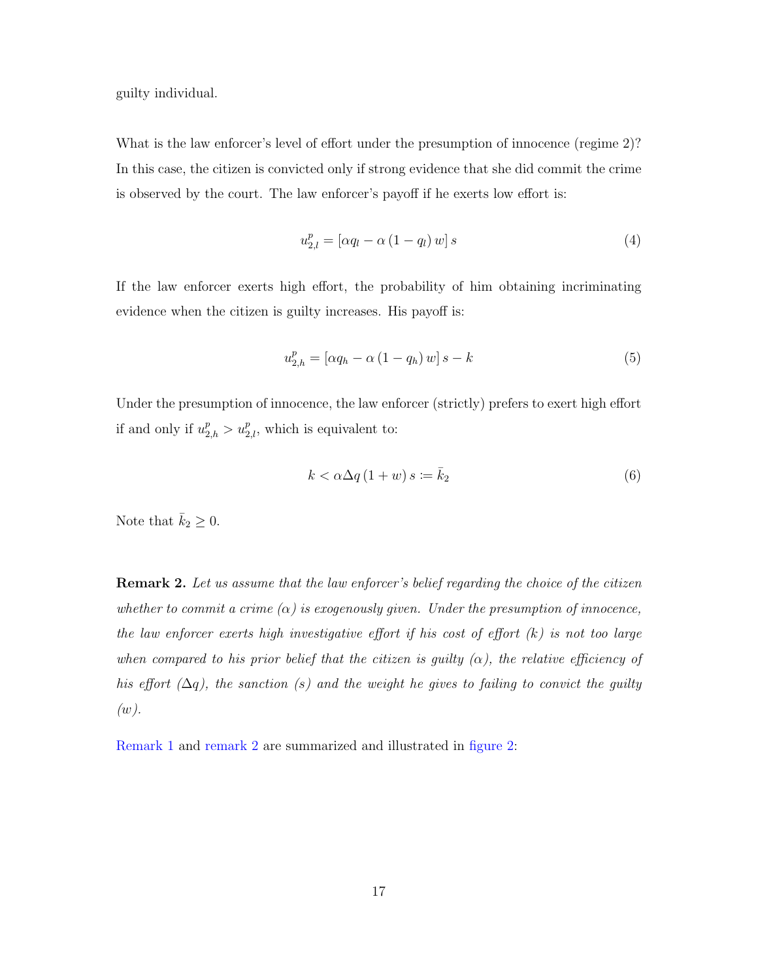guilty individual.

What is the law enforcer's level of effort under the presumption of innocence (regime 2)? In this case, the citizen is convicted only if strong evidence that she did commit the crime is observed by the court. The law enforcer's payoff if he exerts low effort is:

$$
u_{2,l}^p = [\alpha q_l - \alpha (1 - q_l) w] s \tag{4}
$$

If the law enforcer exerts high effort, the probability of him obtaining incriminating evidence when the citizen is guilty increases. His payoff is:

$$
u_{2,h}^p = \left[ \alpha q_h - \alpha \left( 1 - q_h \right) w \right] s - k \tag{5}
$$

Under the presumption of innocence, the law enforcer (strictly) prefers to exert high effort if and only if  $u_{2,h}^p > u_{2,l}^p$ , which is equivalent to:

$$
k < \alpha \Delta q \left( 1 + w \right) s := \bar{k}_2 \tag{6}
$$

Note that  $\bar{k}_2 \geq 0$ .

**Remark 2.** Let us assume that the law enforcer's belief regarding the choice of the citizen whether to commit a crime  $(\alpha)$  is exogenously given. Under the presumption of innocence, the law enforcer exerts high investigative effort if his cost of effort  $(k)$  is not too large when compared to his prior belief that the citizen is guilty  $(\alpha)$ , the relative efficiency of his effort  $(\Delta q)$ , the sanction (s) and the weight he gives to failing to convict the guilty  $(w)$ .

Remark 1 and remark 2 are summarized and illustrated in figure 2: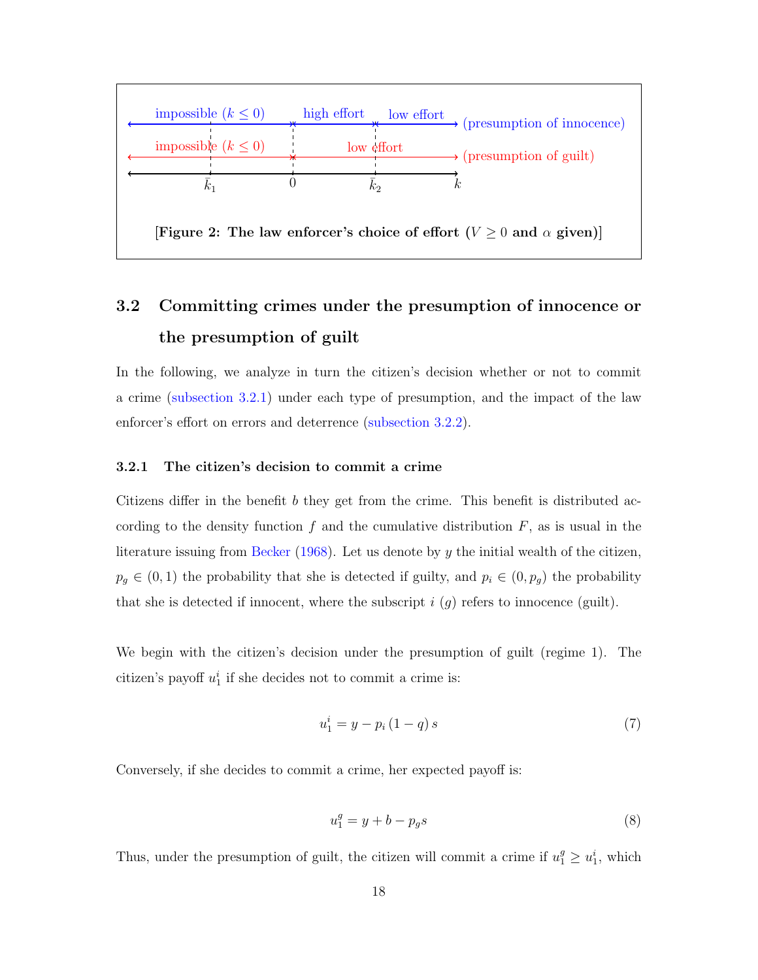

# 3.2 Committing crimes under the presumption of innocence or the presumption of guilt

In the following, we analyze in turn the citizen's decision whether or not to commit a crime (subsection 3.2.1) under each type of presumption, and the impact of the law enforcer's effort on errors and deterrence (subsection 3.2.2).

#### 3.2.1 The citizen's decision to commit a crime

Citizens differ in the benefit  $b$  they get from the crime. This benefit is distributed according to the density function f and the cumulative distribution  $F$ , as is usual in the literature issuing from Becker (1968). Let us denote by y the initial wealth of the citizen,  $p_g \in (0, 1)$  the probability that she is detected if guilty, and  $p_i \in (0, p_g)$  the probability that she is detected if innocent, where the subscript  $i$  (g) refers to innocence (guilt).

We begin with the citizen's decision under the presumption of guilt (regime 1). The citizen's payoff  $u_1^i$  if she decides not to commit a crime is:

$$
u_1^i = y - p_i (1 - q)s \tag{7}
$$

Conversely, if she decides to commit a crime, her expected payoff is:

$$
u_1^g = y + b - p_g s \tag{8}
$$

Thus, under the presumption of guilt, the citizen will commit a crime if  $u_1^g \ge u_1^i$ , which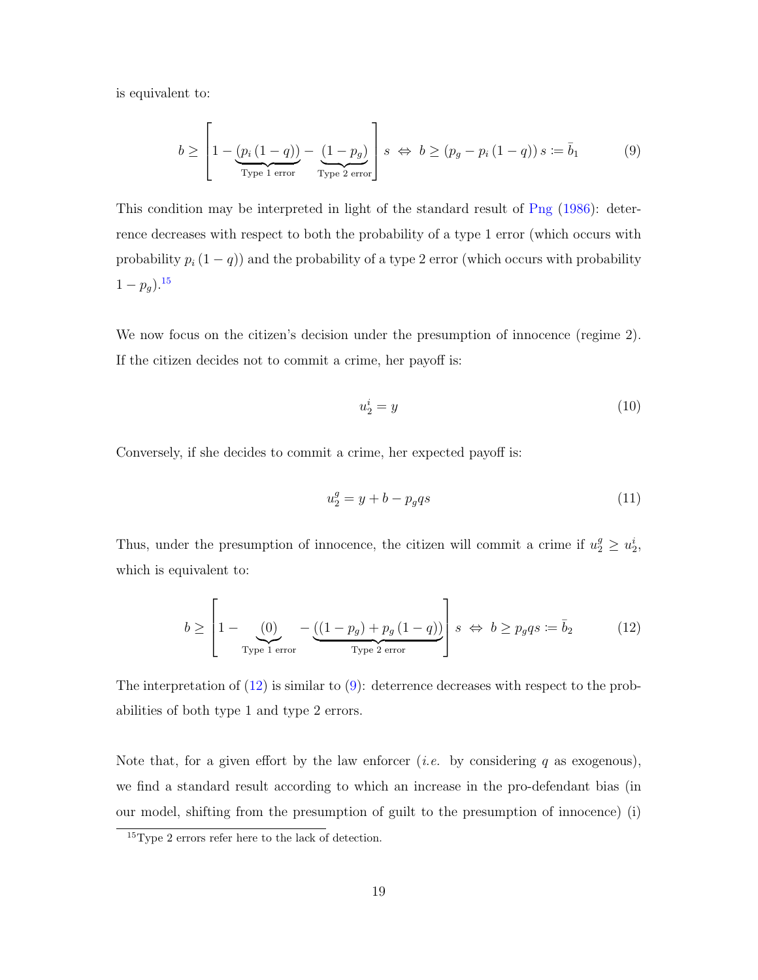is equivalent to:

$$
b \ge \left[1 - \underbrace{(p_i(1-q))}_{\text{Type 1 error}} - \underbrace{(1-p_g)}_{\text{Type 2 error}}\right] s \Leftrightarrow b \ge (p_g - p_i(1-q)) s := \bar{b}_1 \tag{9}
$$

This condition may be interpreted in light of the standard result of Png (1986): deterrence decreases with respect to both the probability of a type 1 error (which occurs with probability  $p_i(1 - q)$ ) and the probability of a type 2 error (which occurs with probability  $1-p_g$ ).<sup>15</sup>

We now focus on the citizen's decision under the presumption of innocence (regime 2). If the citizen decides not to commit a crime, her payoff is:

$$
u_2^i = y \tag{10}
$$

Conversely, if she decides to commit a crime, her expected payoff is:

$$
u_2^g = y + b - p_g q s \tag{11}
$$

Thus, under the presumption of innocence, the citizen will commit a crime if  $u_2^g \ge u_2^i$ , which is equivalent to:

$$
b \ge \left[1 - \underbrace{(0)}_{\text{Type 1 error}} - \underbrace{((1 - p_g) + p_g (1 - q))}_{\text{Type 2 error}}\right] s \Leftrightarrow b \ge p_g qs := \bar{b}_2 \tag{12}
$$

The interpretation of (12) is similar to (9): deterrence decreases with respect to the probabilities of both type 1 and type 2 errors.

Note that, for a given effort by the law enforcer *(i.e.* by considering q as exogenous), we find a standard result according to which an increase in the pro-defendant bias (in our model, shifting from the presumption of guilt to the presumption of innocence) (i)

<sup>15</sup>Type 2 errors refer here to the lack of detection.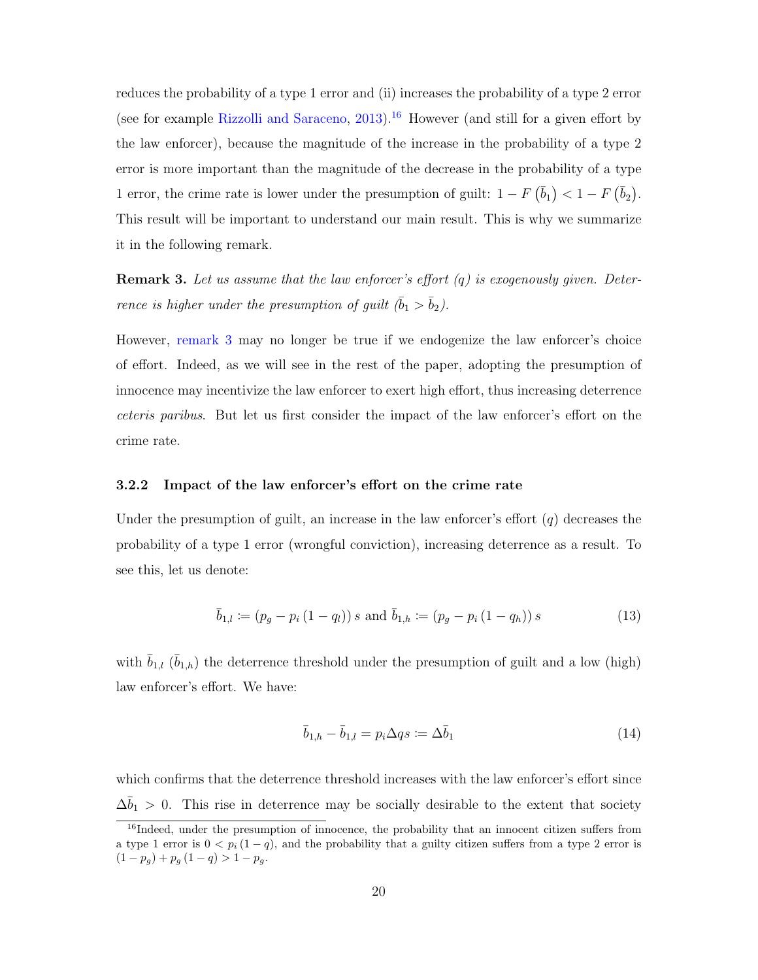reduces the probability of a type 1 error and (ii) increases the probability of a type 2 error (see for example Rizzolli and Saraceno,  $2013$ ).<sup>16</sup> However (and still for a given effort by the law enforcer), because the magnitude of the increase in the probability of a type 2 error is more important than the magnitude of the decrease in the probability of a type 1 error, the crime rate is lower under the presumption of guilt:  $1 - F(\bar{b}_1) < 1 - F(\bar{b}_2)$ . This result will be important to understand our main result. This is why we summarize it in the following remark.

**Remark 3.** Let us assume that the law enforcer's effort  $(q)$  is exogenously given. Deterrence is higher under the presumption of guilt  $(\bar{b}_1 > \bar{b}_2)$ .

However, remark 3 may no longer be true if we endogenize the law enforcer's choice of effort. Indeed, as we will see in the rest of the paper, adopting the presumption of innocence may incentivize the law enforcer to exert high effort, thus increasing deterrence ceteris paribus. But let us first consider the impact of the law enforcer's effort on the crime rate.

#### 3.2.2 Impact of the law enforcer's effort on the crime rate

Under the presumption of guilt, an increase in the law enforcer's effort  $(q)$  decreases the probability of a type 1 error (wrongful conviction), increasing deterrence as a result. To see this, let us denote:

$$
\bar{b}_{1,l} := (p_g - p_i (1 - q_l)) s \text{ and } \bar{b}_{1,h} := (p_g - p_i (1 - q_h)) s
$$
\n(13)

with  $\bar{b}_{1,l}$  ( $\bar{b}_{1,h}$ ) the deterrence threshold under the presumption of guilt and a low (high) law enforcer's effort. We have:

$$
\bar{b}_{1,h} - \bar{b}_{1,l} = p_i \Delta qs := \Delta \bar{b}_1 \tag{14}
$$

which confirms that the deterrence threshold increases with the law enforcer's effort since  $\Delta \bar{b}_1 > 0$ . This rise in deterrence may be socially desirable to the extent that society

<sup>&</sup>lt;sup>16</sup>Indeed, under the presumption of innocence, the probability that an innocent citizen suffers from a type 1 error is  $0 < p_i(1-q)$ , and the probability that a guilty citizen suffers from a type 2 error is  $(1-p_g) + p_g (1-q) > 1-p_g.$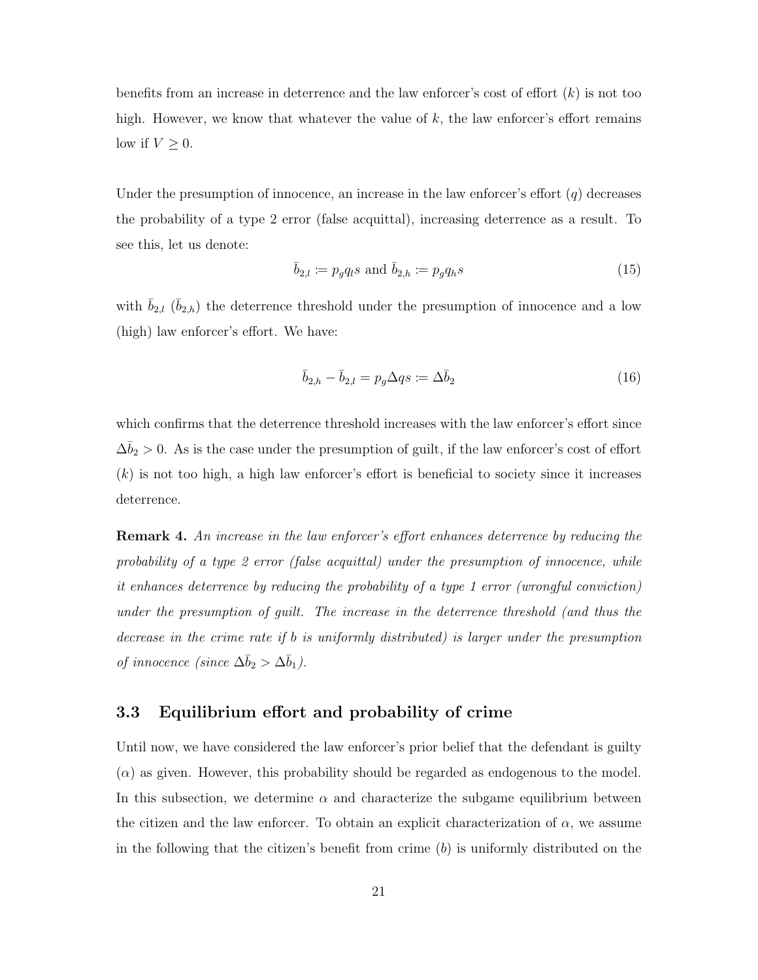benefits from an increase in deterrence and the law enforcer's cost of effort  $(k)$  is not too high. However, we know that whatever the value of  $k$ , the law enforcer's effort remains low if  $V \geq 0$ .

Under the presumption of innocence, an increase in the law enforcer's effort  $(q)$  decreases the probability of a type 2 error (false acquittal), increasing deterrence as a result. To see this, let us denote:

$$
\bar{b}_{2,l} := p_g q_l s \text{ and } \bar{b}_{2,h} := p_g q_h s \tag{15}
$$

with  $\bar{b}_{2,l}$  ( $\bar{b}_{2,h}$ ) the deterrence threshold under the presumption of innocence and a low (high) law enforcer's effort. We have:

$$
\bar{b}_{2,h} - \bar{b}_{2,l} = p_g \Delta qs := \Delta \bar{b}_2 \tag{16}
$$

which confirms that the deterrence threshold increases with the law enforcer's effort since  $\Delta b_2 > 0$ . As is the case under the presumption of guilt, if the law enforcer's cost of effort  $(k)$  is not too high, a high law enforcer's effort is beneficial to society since it increases deterrence.

**Remark 4.** An increase in the law enforcer's effort enhances deterrence by reducing the probability of a type 2 error (false acquittal) under the presumption of innocence, while it enhances deterrence by reducing the probability of a type 1 error (wrongful conviction) under the presumption of guilt. The increase in the deterrence threshold (and thus the decrease in the crime rate if b is uniformly distributed) is larger under the presumption of innocence (since  $\Delta \bar{b}_2 > \Delta \bar{b}_1$ ).

### 3.3 Equilibrium effort and probability of crime

Until now, we have considered the law enforcer's prior belief that the defendant is guilty  $(\alpha)$  as given. However, this probability should be regarded as endogenous to the model. In this subsection, we determine  $\alpha$  and characterize the subgame equilibrium between the citizen and the law enforcer. To obtain an explicit characterization of  $\alpha$ , we assume in the following that the citizen's benefit from crime  $(b)$  is uniformly distributed on the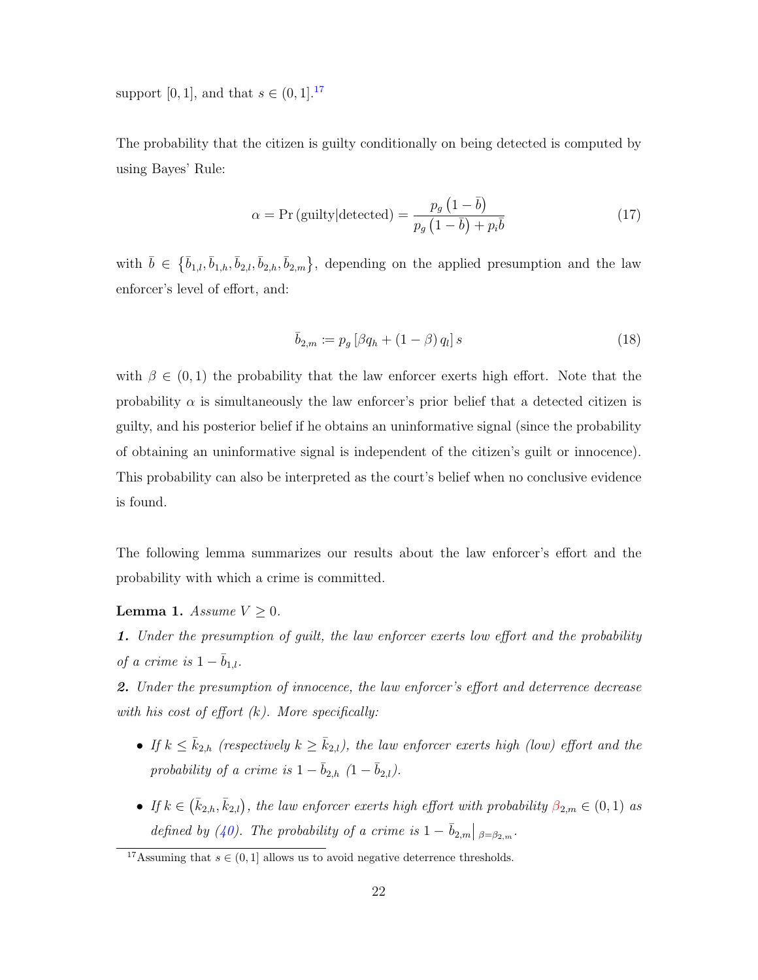support [0, 1], and that  $s \in (0, 1].^{17}$ 

The probability that the citizen is guilty conditionally on being detected is computed by using Bayes' Rule:

$$
\alpha = \Pr\left(\text{guilly}|\text{detected}\right) = \frac{p_g\left(1-\bar{b}\right)}{p_g\left(1-\bar{b}\right) + p_i\bar{b}}\tag{17}
$$

with  $\bar{b} \in \{\bar{b}_{1,l}, \bar{b}_{1,h}, \bar{b}_{2,l}, \bar{b}_{2,h}, \bar{b}_{2,m}\}$ , depending on the applied presumption and the law enforcer's level of effort, and:

$$
\bar{b}_{2,m} := p_g \left[ \beta q_h + (1 - \beta) q_l \right] s \tag{18}
$$

with  $\beta \in (0,1)$  the probability that the law enforcer exerts high effort. Note that the probability  $\alpha$  is simultaneously the law enforcer's prior belief that a detected citizen is guilty, and his posterior belief if he obtains an uninformative signal (since the probability of obtaining an uninformative signal is independent of the citizen's guilt or innocence). This probability can also be interpreted as the court's belief when no conclusive evidence is found.

The following lemma summarizes our results about the law enforcer's effort and the probability with which a crime is committed.

**Lemma 1.** Assume  $V \geq 0$ .

1. Under the presumption of guilt, the law enforcer exerts low effort and the probability of a crime is  $1 - \bar{b}_{1,l}$ .

2. Under the presumption of innocence, the law enforcer's effort and deterrence decrease with his cost of effort  $(k)$ . More specifically:

- If  $k \le \bar{k}_{2,h}$  (respectively  $k \ge \bar{k}_{2,l}$ ), the law enforcer exerts high (low) effort and the probability of a crime is  $1 - \bar{b}_{2,h}$   $(1 - \bar{b}_{2,l})$ .
- If  $k \in (\bar{k}_{2,h}, \bar{k}_{2,l})$ , the law enforcer exerts high effort with probability  $\beta_{2,m} \in (0,1)$  as defined by (40). The probability of a crime is  $1 - \bar{b}_{2,m} |_{\beta = \beta_{2,m}}$ .

<sup>&</sup>lt;sup>17</sup>Assuming that  $s \in (0,1]$  allows us to avoid negative deterrence thresholds.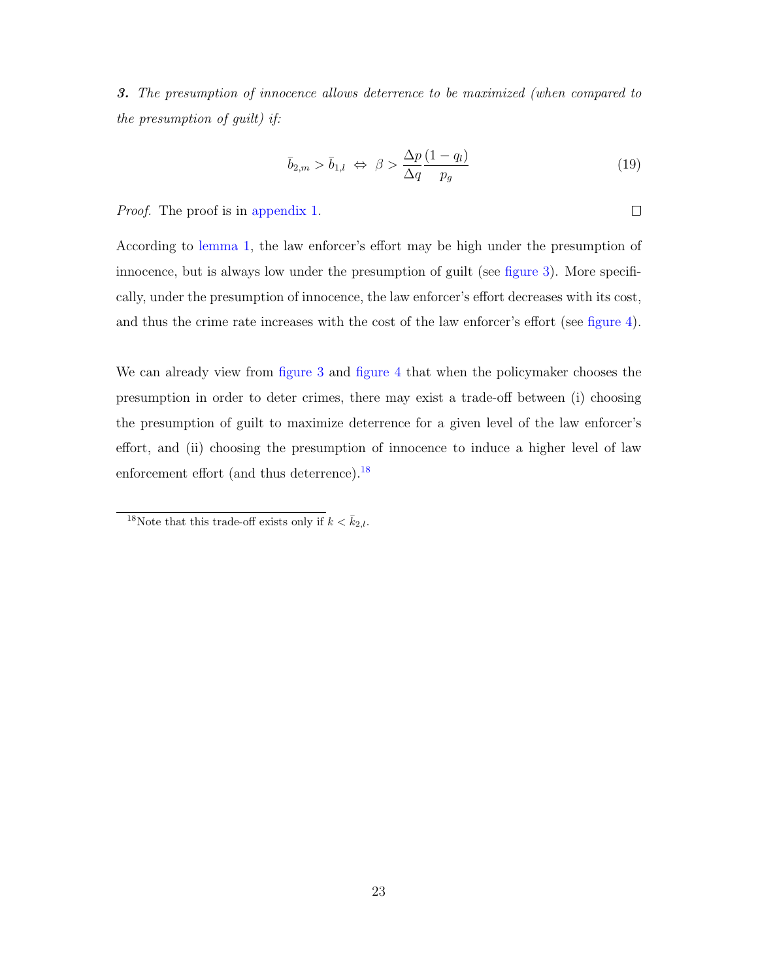3. The presumption of innocence allows deterrence to be maximized (when compared to the presumption of guilt) if:

$$
\bar{b}_{2,m} > \bar{b}_{1,l} \iff \beta > \frac{\Delta p}{\Delta q} \frac{(1 - q_l)}{p_g} \tag{19}
$$

Proof. The proof is in appendix 1.

According to lemma 1, the law enforcer's effort may be high under the presumption of innocence, but is always low under the presumption of guilt (see figure 3). More specifically, under the presumption of innocence, the law enforcer's effort decreases with its cost, and thus the crime rate increases with the cost of the law enforcer's effort (see figure 4).

We can already view from figure 3 and figure 4 that when the policymaker chooses the presumption in order to deter crimes, there may exist a trade-off between (i) choosing the presumption of guilt to maximize deterrence for a given level of the law enforcer's effort, and (ii) choosing the presumption of innocence to induce a higher level of law enforcement effort (and thus deterrence).  $^{18}$ 

 $\Box$ 

 $^{18}\rm{Note}$  that this trade-off exists only if  $k<\bar{k}_{2,l}.$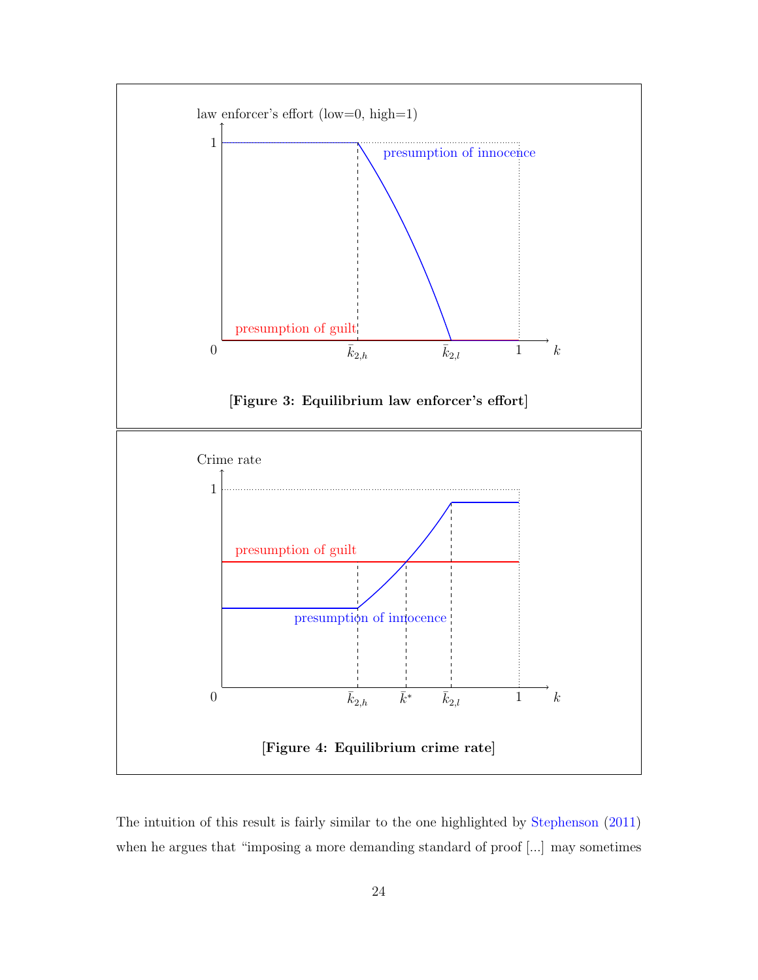

The intuition of this result is fairly similar to the one highlighted by Stephenson (2011) when he argues that "imposing a more demanding standard of proof [...] may sometimes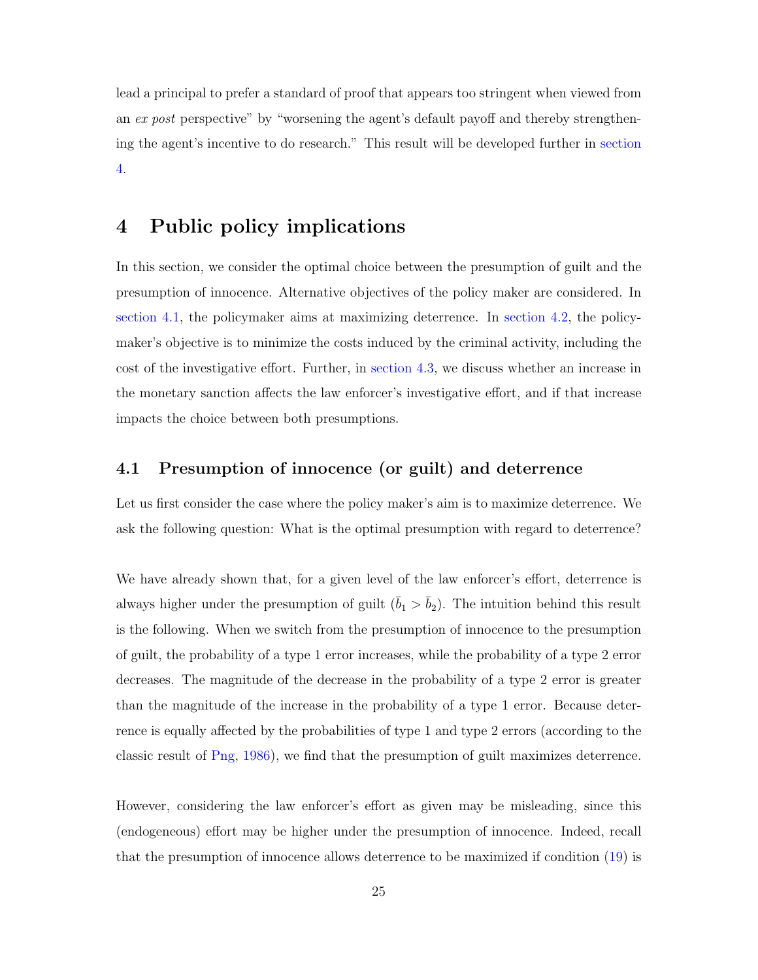lead a principal to prefer a standard of proof that appears too stringent when viewed from an ex post perspective" by "worsening the agent's default payoff and thereby strengthening the agent's incentive to do research." This result will be developed further in section 4.

# 4 Public policy implications

In this section, we consider the optimal choice between the presumption of guilt and the presumption of innocence. Alternative objectives of the policy maker are considered. In section 4.1, the policymaker aims at maximizing deterrence. In section 4.2, the policymaker's objective is to minimize the costs induced by the criminal activity, including the cost of the investigative effort. Further, in section 4.3, we discuss whether an increase in the monetary sanction affects the law enforcer's investigative effort, and if that increase impacts the choice between both presumptions.

### 4.1 Presumption of innocence (or guilt) and deterrence

Let us first consider the case where the policy maker's aim is to maximize deterrence. We ask the following question: What is the optimal presumption with regard to deterrence?

We have already shown that, for a given level of the law enforcer's effort, deterrence is always higher under the presumption of guilt  $(\bar{b}_1 > \bar{b}_2)$ . The intuition behind this result is the following. When we switch from the presumption of innocence to the presumption of guilt, the probability of a type 1 error increases, while the probability of a type 2 error decreases. The magnitude of the decrease in the probability of a type 2 error is greater than the magnitude of the increase in the probability of a type 1 error. Because deterrence is equally affected by the probabilities of type 1 and type 2 errors (according to the classic result of Png, 1986), we find that the presumption of guilt maximizes deterrence.

However, considering the law enforcer's effort as given may be misleading, since this (endogeneous) effort may be higher under the presumption of innocence. Indeed, recall that the presumption of innocence allows deterrence to be maximized if condition (19) is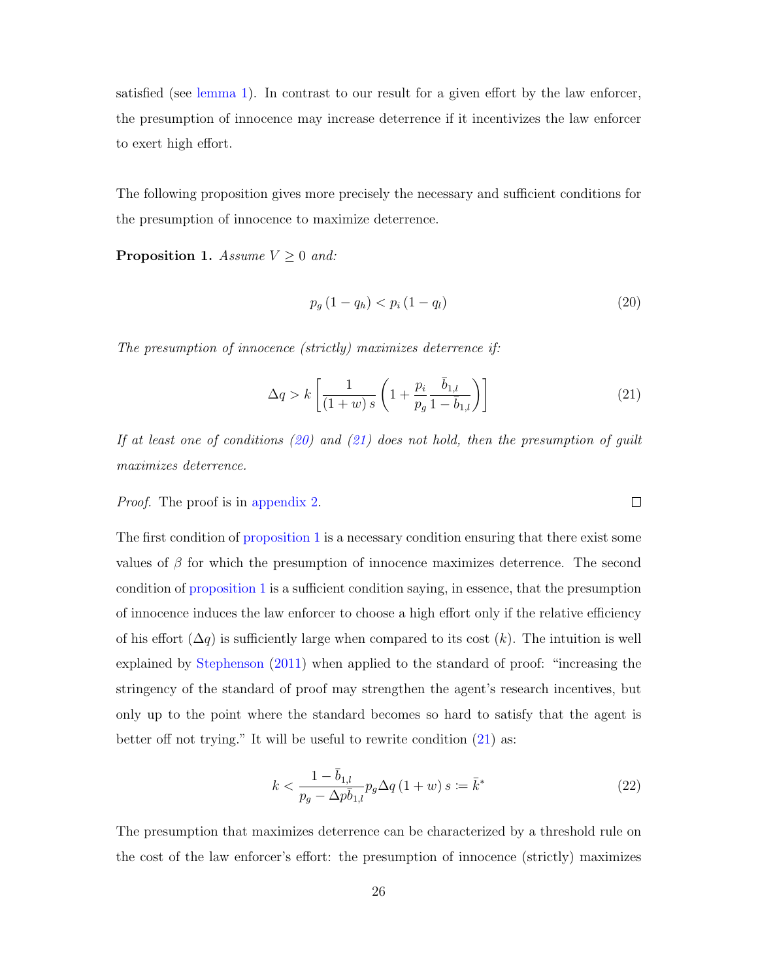satisfied (see lemma 1). In contrast to our result for a given effort by the law enforcer, the presumption of innocence may increase deterrence if it incentivizes the law enforcer to exert high effort.

The following proposition gives more precisely the necessary and sufficient conditions for the presumption of innocence to maximize deterrence.

**Proposition 1.** Assume  $V \geq 0$  and:

$$
p_g(1 - q_h) < p_i(1 - q_l) \tag{20}
$$

The presumption of innocence (strictly) maximizes deterrence if:

$$
\Delta q > k \left[ \frac{1}{(1+w)s} \left( 1 + \frac{p_i}{p_g} \frac{\bar{b}_{1,l}}{1 - \bar{b}_{1,l}} \right) \right]
$$
(21)

If at least one of conditions  $(20)$  and  $(21)$  does not hold, then the presumption of quilt maximizes deterrence.

#### Proof. The proof is in appendix 2.

The first condition of proposition 1 is a necessary condition ensuring that there exist some values of  $\beta$  for which the presumption of innocence maximizes deterrence. The second condition of proposition 1 is a sufficient condition saying, in essence, that the presumption of innocence induces the law enforcer to choose a high effort only if the relative efficiency of his effort  $(\Delta q)$  is sufficiently large when compared to its cost  $(k)$ . The intuition is well explained by Stephenson (2011) when applied to the standard of proof: "increasing the stringency of the standard of proof may strengthen the agent's research incentives, but only up to the point where the standard becomes so hard to satisfy that the agent is better off not trying." It will be useful to rewrite condition (21) as:

$$
k < \frac{1 - \bar{b}_{1,l}}{p_g - \Delta p \bar{b}_{1,l}} p_g \Delta q \left( 1 + w \right) s := \bar{k}^* \tag{22}
$$

The presumption that maximizes deterrence can be characterized by a threshold rule on the cost of the law enforcer's effort: the presumption of innocence (strictly) maximizes

 $\Box$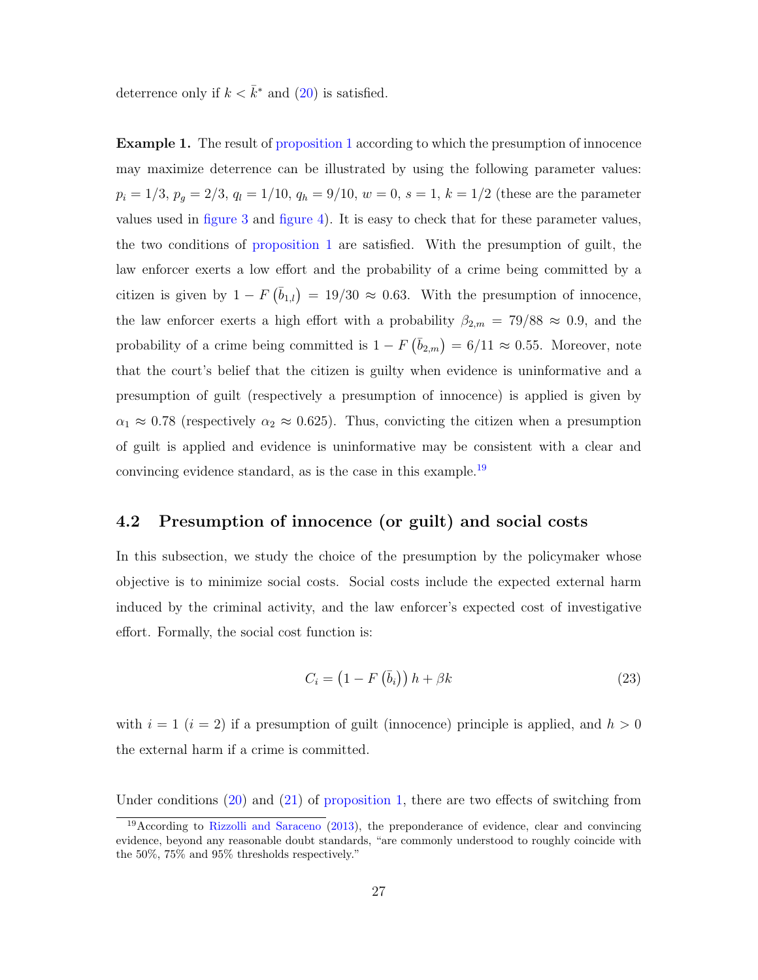deterrence only if  $k < \bar{k}^*$  and (20) is satisfied.

Example 1. The result of proposition 1 according to which the presumption of innocence may maximize deterrence can be illustrated by using the following parameter values:  $p_i = 1/3$ ,  $p_g = 2/3$ ,  $q_l = 1/10$ ,  $q_h = 9/10$ ,  $w = 0$ ,  $s = 1$ ,  $k = 1/2$  (these are the parameter values used in figure 3 and figure 4). It is easy to check that for these parameter values, the two conditions of proposition 1 are satisfied. With the presumption of guilt, the law enforcer exerts a low effort and the probability of a crime being committed by a citizen is given by  $1 - F(\bar{b}_{1,l}) = 19/30 \approx 0.63$ . With the presumption of innocence, the law enforcer exerts a high effort with a probability  $\beta_{2,m} = 79/88 \approx 0.9$ , and the probability of a crime being committed is  $1 - F(\bar{b}_{2,m}) = 6/11 \approx 0.55$ . Moreover, note that the court's belief that the citizen is guilty when evidence is uninformative and a presumption of guilt (respectively a presumption of innocence) is applied is given by  $\alpha_1 \approx 0.78$  (respectively  $\alpha_2 \approx 0.625$ ). Thus, convicting the citizen when a presumption of guilt is applied and evidence is uninformative may be consistent with a clear and convincing evidence standard, as is the case in this example.<sup>19</sup>

### 4.2 Presumption of innocence (or guilt) and social costs

In this subsection, we study the choice of the presumption by the policymaker whose objective is to minimize social costs. Social costs include the expected external harm induced by the criminal activity, and the law enforcer's expected cost of investigative effort. Formally, the social cost function is:

$$
C_i = \left(1 - F\left(\bar{b}_i\right)\right)h + \beta k\tag{23}
$$

with  $i = 1$   $(i = 2)$  if a presumption of guilt (innocence) principle is applied, and  $h > 0$ the external harm if a crime is committed.

Under conditions (20) and (21) of proposition 1, there are two effects of switching from

<sup>19</sup>According to Rizzolli and Saraceno (2013), the preponderance of evidence, clear and convincing evidence, beyond any reasonable doubt standards, "are commonly understood to roughly coincide with the 50%, 75% and 95% thresholds respectively."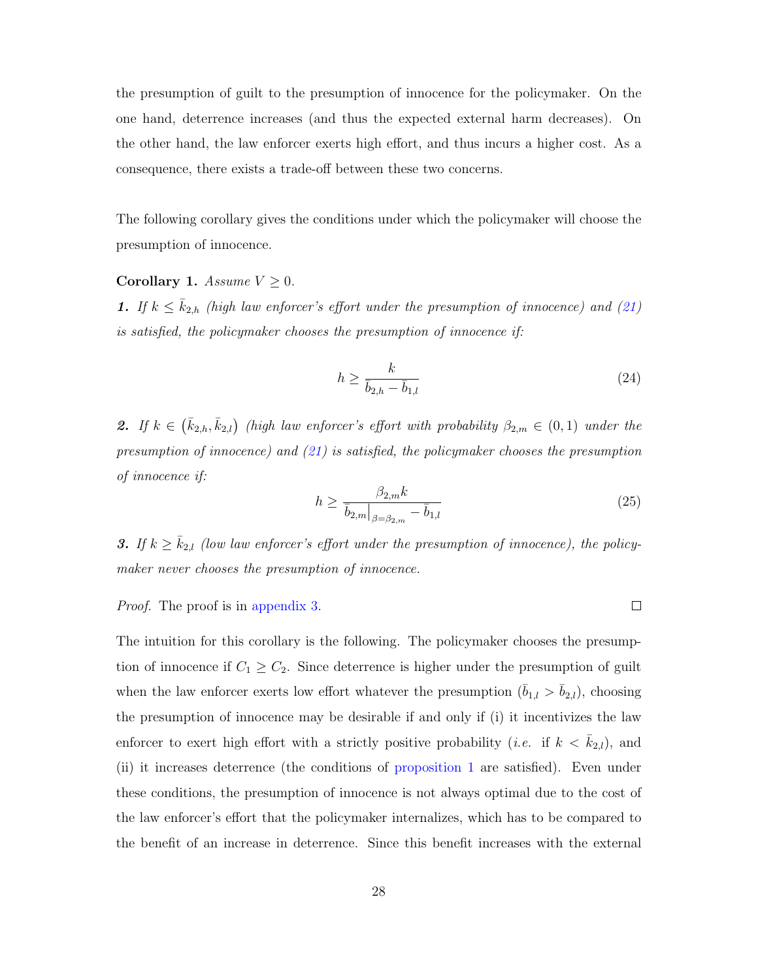the presumption of guilt to the presumption of innocence for the policymaker. On the one hand, deterrence increases (and thus the expected external harm decreases). On the other hand, the law enforcer exerts high effort, and thus incurs a higher cost. As a consequence, there exists a trade-off between these two concerns.

The following corollary gives the conditions under which the policymaker will choose the presumption of innocence.

#### Corollary 1. Assume  $V \geq 0$ .

1. If  $k \le \bar{k}_{2,h}$  (high law enforcer's effort under the presumption of innocence) and (21) is satisfied, the policymaker chooses the presumption of innocence if:

$$
h \ge \frac{k}{\bar{b}_{2,h} - \bar{b}_{1,l}}\tag{24}
$$

2. If  $k \in (\bar{k}_{2,h}, \bar{k}_{2,l})$  (high law enforcer's effort with probability  $\beta_{2,m} \in (0,1)$  under the presumption of innocence) and  $(21)$  is satisfied, the policymaker chooses the presumption of innocence if:

$$
h \ge \frac{\beta_{2,m}k}{\overline{b}_{2,m}\big|_{\beta=\beta_{2,m}} - \overline{b}_{1,l}}\tag{25}
$$

 $\Box$ 

**3.** If  $k \geq \bar{k}_{2,l}$  (low law enforcer's effort under the presumption of innocence), the policymaker never chooses the presumption of innocence.

#### Proof. The proof is in appendix 3.

The intuition for this corollary is the following. The policymaker chooses the presumption of innocence if  $C_1 \geq C_2$ . Since deterrence is higher under the presumption of guilt when the law enforcer exerts low effort whatever the presumption  $(\bar{b}_{1,l} > \bar{b}_{2,l})$ , choosing the presumption of innocence may be desirable if and only if (i) it incentivizes the law enforcer to exert high effort with a strictly positive probability (*i.e.* if  $k < k_{2,l}$ ), and (ii) it increases deterrence (the conditions of proposition 1 are satisfied). Even under these conditions, the presumption of innocence is not always optimal due to the cost of the law enforcer's effort that the policymaker internalizes, which has to be compared to the benefit of an increase in deterrence. Since this benefit increases with the external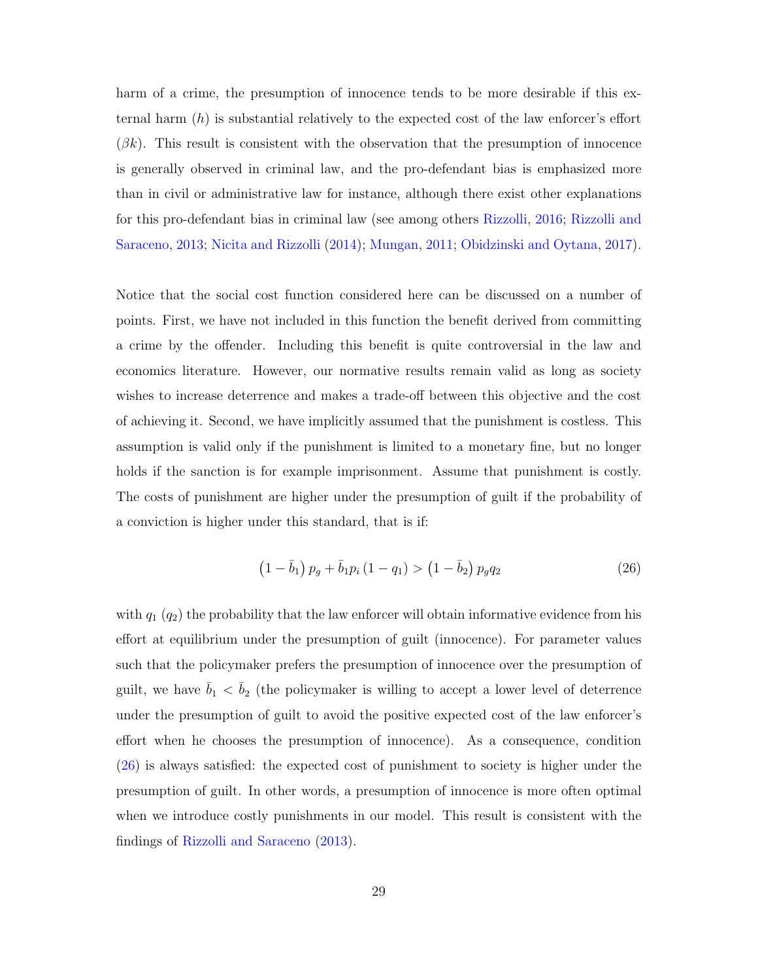harm of a crime, the presumption of innocence tends to be more desirable if this external harm  $(h)$  is substantial relatively to the expected cost of the law enforcer's effort  $(\beta k)$ . This result is consistent with the observation that the presumption of innocence is generally observed in criminal law, and the pro-defendant bias is emphasized more than in civil or administrative law for instance, although there exist other explanations for this pro-defendant bias in criminal law (see among others Rizzolli, 2016; Rizzolli and Saraceno, 2013; Nicita and Rizzolli (2014); Mungan, 2011; Obidzinski and Oytana, 2017).

Notice that the social cost function considered here can be discussed on a number of points. First, we have not included in this function the benefit derived from committing a crime by the offender. Including this benefit is quite controversial in the law and economics literature. However, our normative results remain valid as long as society wishes to increase deterrence and makes a trade-off between this objective and the cost of achieving it. Second, we have implicitly assumed that the punishment is costless. This assumption is valid only if the punishment is limited to a monetary fine, but no longer holds if the sanction is for example imprisonment. Assume that punishment is costly. The costs of punishment are higher under the presumption of guilt if the probability of a conviction is higher under this standard, that is if:

$$
(1 - \bar{b}_1) p_g + \bar{b}_1 p_i (1 - q_1) > (1 - \bar{b}_2) p_g q_2
$$
\n(26)

with  $q_1$  ( $q_2$ ) the probability that the law enforcer will obtain informative evidence from his effort at equilibrium under the presumption of guilt (innocence). For parameter values such that the policymaker prefers the presumption of innocence over the presumption of guilt, we have  $\bar{b}_1 < \bar{b}_2$  (the policymaker is willing to accept a lower level of deterrence under the presumption of guilt to avoid the positive expected cost of the law enforcer's effort when he chooses the presumption of innocence). As a consequence, condition (26) is always satisfied: the expected cost of punishment to society is higher under the presumption of guilt. In other words, a presumption of innocence is more often optimal when we introduce costly punishments in our model. This result is consistent with the findings of Rizzolli and Saraceno (2013).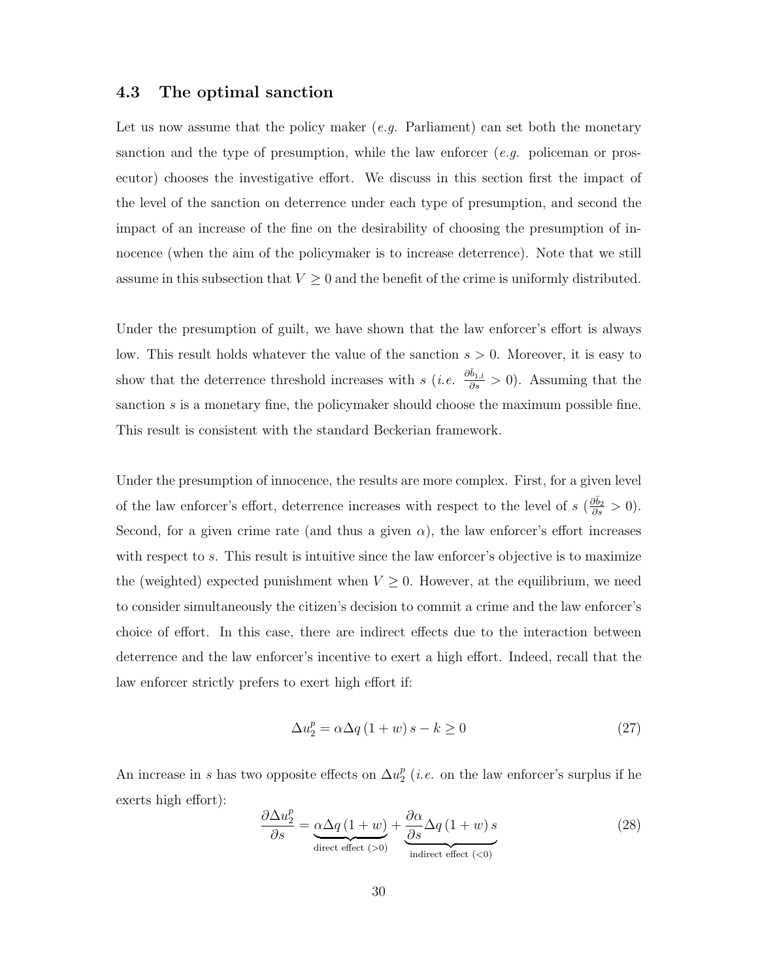#### 4.3 The optimal sanction

Let us now assume that the policy maker  $(e.g.$  Parliament) can set both the monetary sanction and the type of presumption, while the law enforcer  $(e,q)$  policeman or prosecutor) chooses the investigative effort. We discuss in this section first the impact of the level of the sanction on deterrence under each type of presumption, and second the impact of an increase of the fine on the desirability of choosing the presumption of innocence (when the aim of the policymaker is to increase deterrence). Note that we still assume in this subsection that  $V \geq 0$  and the benefit of the crime is uniformly distributed.

Under the presumption of guilt, we have shown that the law enforcer's effort is always low. This result holds whatever the value of the sanction  $s > 0$ . Moreover, it is easy to show that the deterrence threshold increases with s (i.e.  $\frac{\partial \bar{b}_{1,l}}{\partial s} > 0$ ). Assuming that the sanction s is a monetary fine, the policymaker should choose the maximum possible fine. This result is consistent with the standard Beckerian framework.

Under the presumption of innocence, the results are more complex. First, for a given level of the law enforcer's effort, deterrence increases with respect to the level of  $s \left( \frac{\partial \bar{b}_2}{\partial s} > 0 \right)$ . Second, for a given crime rate (and thus a given  $\alpha$ ), the law enforcer's effort increases with respect to s. This result is intuitive since the law enforcer's objective is to maximize the (weighted) expected punishment when  $V \geq 0$ . However, at the equilibrium, we need to consider simultaneously the citizen's decision to commit a crime and the law enforcer's choice of effort. In this case, there are indirect effects due to the interaction between deterrence and the law enforcer's incentive to exert a high effort. Indeed, recall that the law enforcer strictly prefers to exert high effort if:

$$
\Delta u_2^p = \alpha \Delta q (1+w) s - k \ge 0 \tag{27}
$$

An increase in s has two opposite effects on  $\Delta u_2^p$  $2^p$  (*i.e.* on the law enforcer's surplus if he exerts high effort):

$$
\frac{\partial \Delta u_2^p}{\partial s} = \underbrace{\alpha \Delta q \left(1 + w\right)}_{\text{direct effect } (>0)} + \underbrace{\frac{\partial \alpha}{\partial s} \Delta q \left(1 + w\right) s}_{\text{indirect effect } (<0)} \tag{28}
$$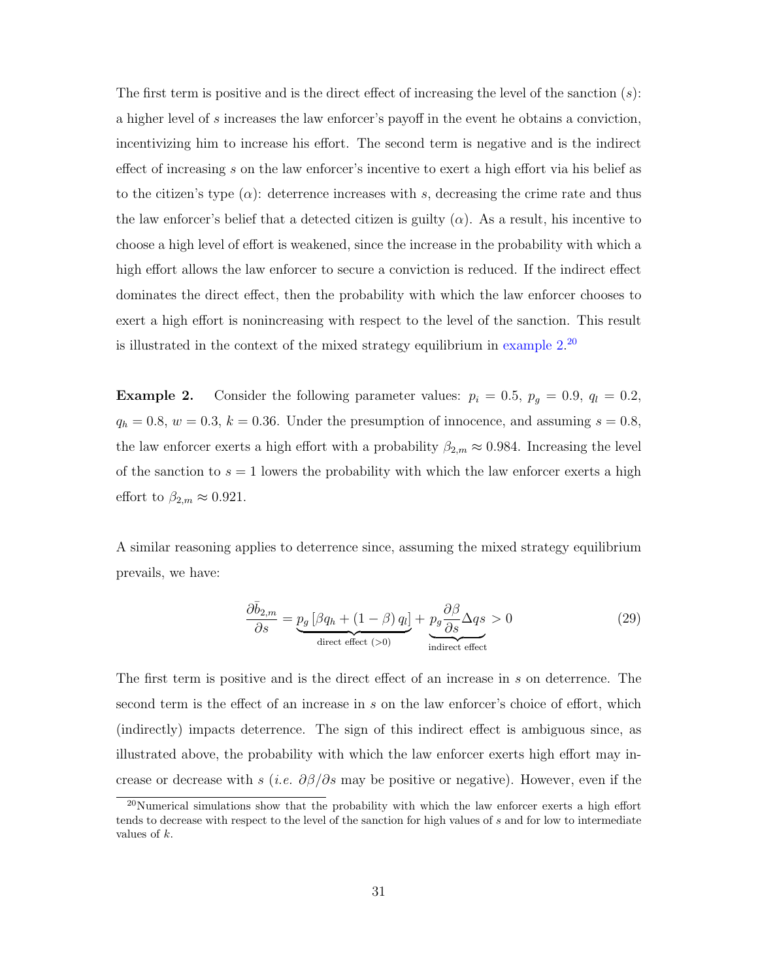The first term is positive and is the direct effect of increasing the level of the sanction  $(s)$ : a higher level of s increases the law enforcer's payoff in the event he obtains a conviction, incentivizing him to increase his effort. The second term is negative and is the indirect effect of increasing s on the law enforcer's incentive to exert a high effort via his belief as to the citizen's type  $(\alpha)$ : deterrence increases with s, decreasing the crime rate and thus the law enforcer's belief that a detected citizen is guilty  $(\alpha)$ . As a result, his incentive to choose a high level of effort is weakened, since the increase in the probability with which a high effort allows the law enforcer to secure a conviction is reduced. If the indirect effect dominates the direct effect, then the probability with which the law enforcer chooses to exert a high effort is nonincreasing with respect to the level of the sanction. This result is illustrated in the context of the mixed strategy equilibrium in example  $2^{20}$ 

**Example 2.** Consider the following parameter values:  $p_i = 0.5$ ,  $p_g = 0.9$ ,  $q_l = 0.2$ ,  $q_h = 0.8$ ,  $w = 0.3$ ,  $k = 0.36$ . Under the presumption of innocence, and assuming  $s = 0.8$ , the law enforcer exerts a high effort with a probability  $\beta_{2,m} \approx 0.984$ . Increasing the level of the sanction to  $s = 1$  lowers the probability with which the law enforcer exerts a high effort to  $\beta_{2,m} \approx 0.921$ .

A similar reasoning applies to deterrence since, assuming the mixed strategy equilibrium prevails, we have:

$$
\frac{\partial \bar{b}_{2,m}}{\partial s} = \underbrace{p_g \left[ \beta q_h + (1 - \beta) q_l \right]}_{\text{direct effect } (\ge 0)} + \underbrace{p_g \frac{\partial \beta}{\partial s} \Delta qs}_{\text{indirect effect}} > 0 \tag{29}
$$

The first term is positive and is the direct effect of an increase in s on deterrence. The second term is the effect of an increase in s on the law enforcer's choice of effort, which (indirectly) impacts deterrence. The sign of this indirect effect is ambiguous since, as illustrated above, the probability with which the law enforcer exerts high effort may increase or decrease with s (i.e.  $\partial \beta / \partial s$  may be positive or negative). However, even if the

<sup>&</sup>lt;sup>20</sup>Numerical simulations show that the probability with which the law enforcer exerts a high effort tends to decrease with respect to the level of the sanction for high values of s and for low to intermediate values of k.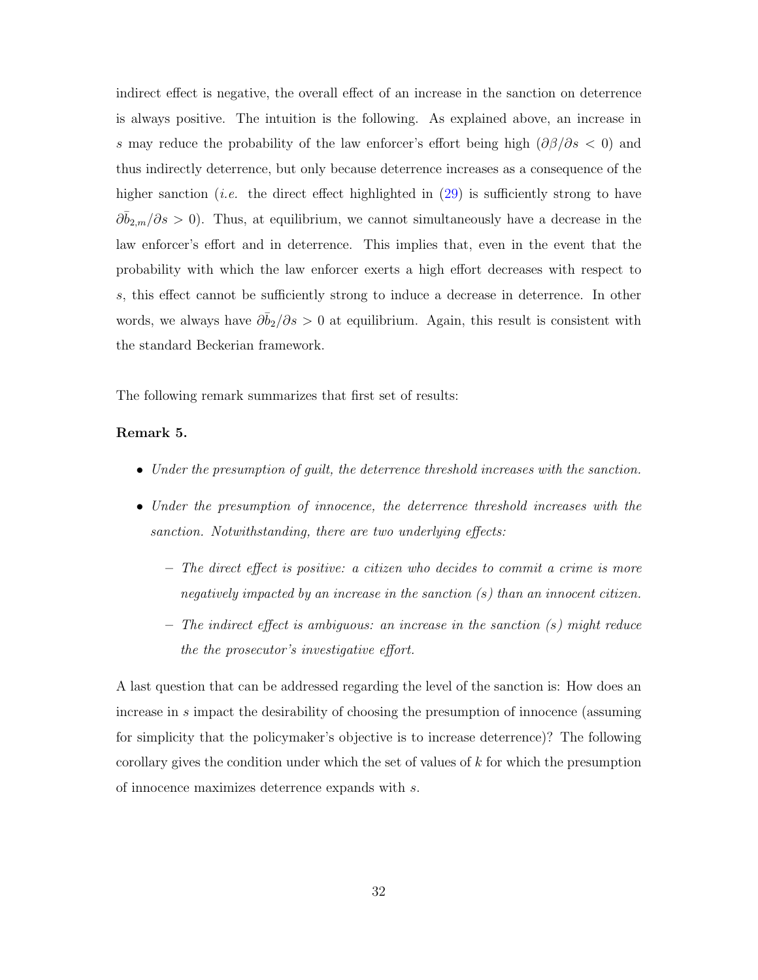indirect effect is negative, the overall effect of an increase in the sanction on deterrence is always positive. The intuition is the following. As explained above, an increase in s may reduce the probability of the law enforcer's effort being high  $(\partial \beta/\partial s < 0)$  and thus indirectly deterrence, but only because deterrence increases as a consequence of the higher sanction *(i.e.* the direct effect highlighted in  $(29)$  is sufficiently strong to have  $\partial \bar{b}_{2,m}/\partial s > 0$ ). Thus, at equilibrium, we cannot simultaneously have a decrease in the law enforcer's effort and in deterrence. This implies that, even in the event that the probability with which the law enforcer exerts a high effort decreases with respect to s, this effect cannot be sufficiently strong to induce a decrease in deterrence. In other words, we always have  $\partial \bar{b}_2/\partial s > 0$  at equilibrium. Again, this result is consistent with the standard Beckerian framework.

The following remark summarizes that first set of results:

#### Remark 5.

- Under the presumption of guilt, the deterrence threshold increases with the sanction.
- Under the presumption of innocence, the deterrence threshold increases with the sanction. Notwithstanding, there are two underlying effects:
	- The direct effect is positive: a citizen who decides to commit a crime is more negatively impacted by an increase in the sanction (s) than an innocent citizen.
	- $-$  The indirect effect is ambiguous: an increase in the sanction  $(s)$  might reduce the the prosecutor's investigative effort.

A last question that can be addressed regarding the level of the sanction is: How does an increase in s impact the desirability of choosing the presumption of innocence (assuming for simplicity that the policymaker's objective is to increase deterrence)? The following corollary gives the condition under which the set of values of  $k$  for which the presumption of innocence maximizes deterrence expands with s.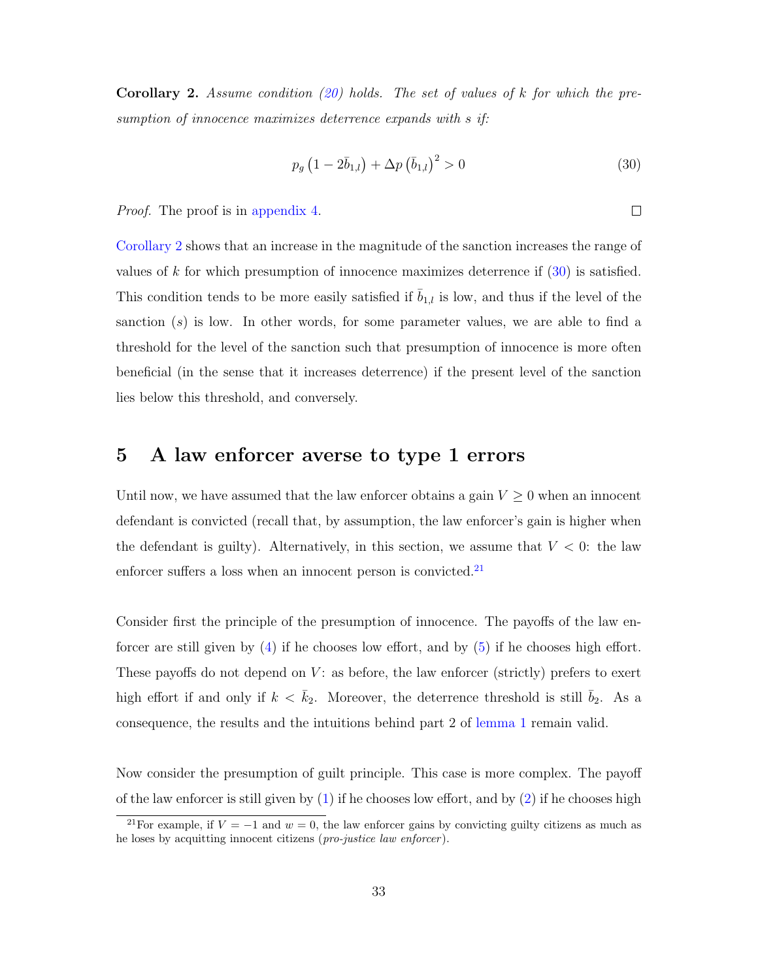**Corollary 2.** Assume condition (20) holds. The set of values of k for which the presumption of innocence maximizes deterrence expands with s if:

$$
p_g\left(1 - 2\bar{b}_{1,l}\right) + \Delta p\left(\bar{b}_{1,l}\right)^2 > 0\tag{30}
$$

Proof. The proof is in appendix 4.

Corollary 2 shows that an increase in the magnitude of the sanction increases the range of values of  $k$  for which presumption of innocence maximizes deterrence if  $(30)$  is satisfied. This condition tends to be more easily satisfied if  $b_{1,l}$  is low, and thus if the level of the sanction  $(s)$  is low. In other words, for some parameter values, we are able to find a threshold for the level of the sanction such that presumption of innocence is more often beneficial (in the sense that it increases deterrence) if the present level of the sanction lies below this threshold, and conversely.

## 5 A law enforcer averse to type 1 errors

Until now, we have assumed that the law enforcer obtains a gain  $V \geq 0$  when an innocent defendant is convicted (recall that, by assumption, the law enforcer's gain is higher when the defendant is guilty). Alternatively, in this section, we assume that  $V < 0$ : the law enforcer suffers a loss when an innocent person is convicted.<sup>21</sup>

Consider first the principle of the presumption of innocence. The payoffs of the law enforcer are still given by (4) if he chooses low effort, and by (5) if he chooses high effort. These payoffs do not depend on  $V$ : as before, the law enforcer (strictly) prefers to exert high effort if and only if  $k < \bar{k}_2$ . Moreover, the deterrence threshold is still  $\bar{b}_2$ . As a consequence, the results and the intuitions behind part 2 of lemma 1 remain valid.

Now consider the presumption of guilt principle. This case is more complex. The payoff of the law enforcer is still given by  $(1)$  if he chooses low effort, and by  $(2)$  if he chooses high

 $\Box$ 

<sup>&</sup>lt;sup>21</sup>For example, if  $V = -1$  and  $w = 0$ , the law enforcer gains by convicting guilty citizens as much as he loses by acquitting innocent citizens (*pro-justice law enforcer*).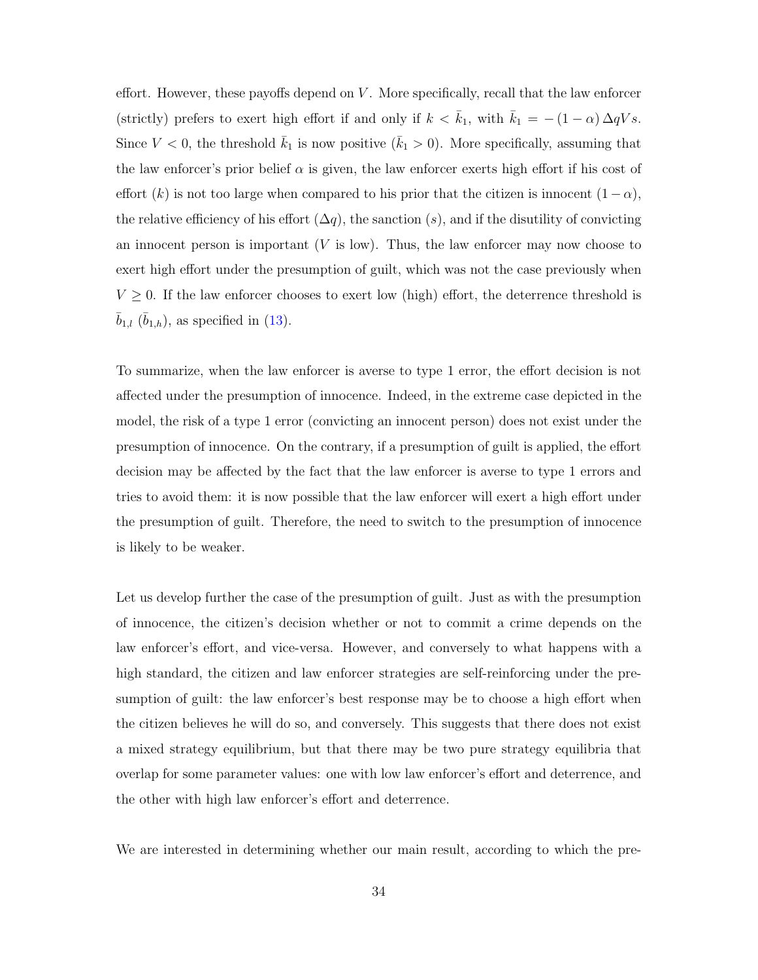effort. However, these payoffs depend on  $V$ . More specifically, recall that the law enforcer (strictly) prefers to exert high effort if and only if  $k < \bar{k}_1$ , with  $\bar{k}_1 = -(1 - \alpha) \Delta q V s$ . Since  $V < 0$ , the threshold  $\bar{k}_1$  is now positive  $(\bar{k}_1 > 0)$ . More specifically, assuming that the law enforcer's prior belief  $\alpha$  is given, the law enforcer exerts high effort if his cost of effort (k) is not too large when compared to his prior that the citizen is innocent  $(1 - \alpha)$ , the relative efficiency of his effort  $(\Delta q)$ , the sanction  $(s)$ , and if the disutility of convicting an innocent person is important  $(V$  is low). Thus, the law enforcer may now choose to exert high effort under the presumption of guilt, which was not the case previously when  $V \geq 0$ . If the law enforcer chooses to exert low (high) effort, the deterrence threshold is  $\bar{b}_{1,l}$  ( $\bar{b}_{1,h}$ ), as specified in (13).

To summarize, when the law enforcer is averse to type 1 error, the effort decision is not affected under the presumption of innocence. Indeed, in the extreme case depicted in the model, the risk of a type 1 error (convicting an innocent person) does not exist under the presumption of innocence. On the contrary, if a presumption of guilt is applied, the effort decision may be affected by the fact that the law enforcer is averse to type 1 errors and tries to avoid them: it is now possible that the law enforcer will exert a high effort under the presumption of guilt. Therefore, the need to switch to the presumption of innocence is likely to be weaker.

Let us develop further the case of the presumption of guilt. Just as with the presumption of innocence, the citizen's decision whether or not to commit a crime depends on the law enforcer's effort, and vice-versa. However, and conversely to what happens with a high standard, the citizen and law enforcer strategies are self-reinforcing under the presumption of guilt: the law enforcer's best response may be to choose a high effort when the citizen believes he will do so, and conversely. This suggests that there does not exist a mixed strategy equilibrium, but that there may be two pure strategy equilibria that overlap for some parameter values: one with low law enforcer's effort and deterrence, and the other with high law enforcer's effort and deterrence.

We are interested in determining whether our main result, according to which the pre-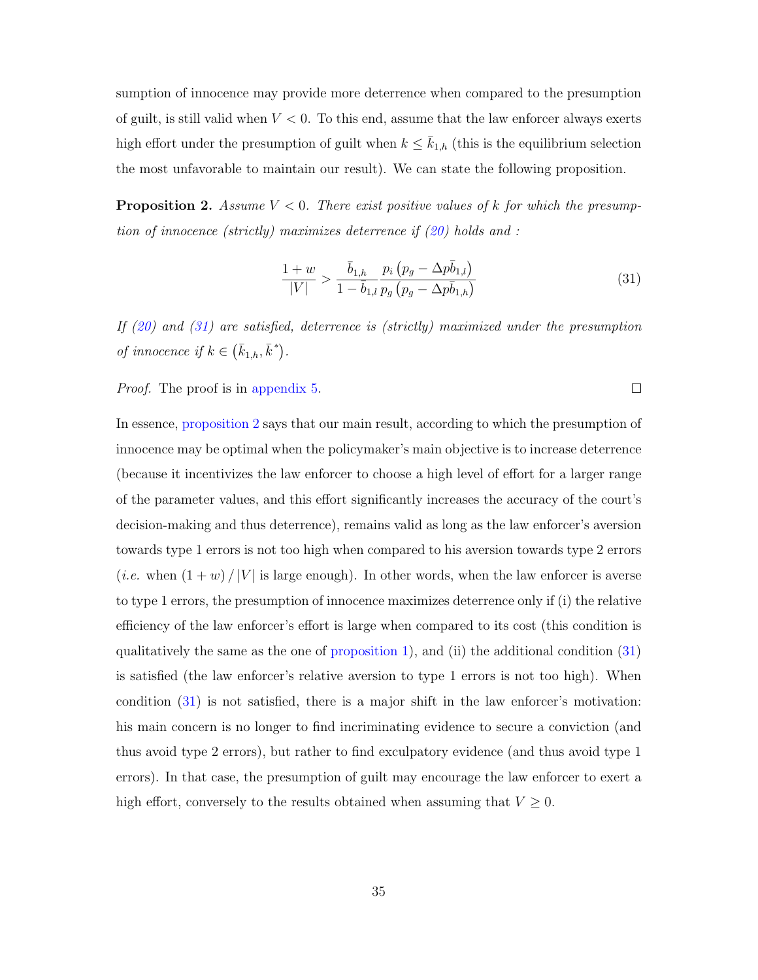sumption of innocence may provide more deterrence when compared to the presumption of guilt, is still valid when  $V < 0$ . To this end, assume that the law enforcer always exerts high effort under the presumption of guilt when  $k \leq \bar{k}_{1,h}$  (this is the equilibrium selection the most unfavorable to maintain our result). We can state the following proposition.

**Proposition 2.** Assume  $V < 0$ . There exist positive values of k for which the presumption of innocence (strictly) maximizes deterrence if  $(20)$  holds and :

$$
\frac{1+w}{|V|} > \frac{\bar{b}_{1,h}}{1-\bar{b}_{1,l}} \frac{p_i (p_g - \Delta p \bar{b}_{1,l})}{p_g (p_g - \Delta p \bar{b}_{1,h})}
$$
(31)

 $\Box$ 

If  $(20)$  and  $(31)$  are satisfied, deterrence is (strictly) maximized under the presumption *of innocence if*  $k \in (\bar{k}_{1,h}, \bar{k}^*)$ .

#### Proof. The proof is in appendix 5.

In essence, proposition 2 says that our main result, according to which the presumption of innocence may be optimal when the policymaker's main objective is to increase deterrence (because it incentivizes the law enforcer to choose a high level of effort for a larger range of the parameter values, and this effort significantly increases the accuracy of the court's decision-making and thus deterrence), remains valid as long as the law enforcer's aversion towards type 1 errors is not too high when compared to his aversion towards type 2 errors (*i.e.* when  $(1 + w) / |V|$  is large enough). In other words, when the law enforcer is averse to type 1 errors, the presumption of innocence maximizes deterrence only if (i) the relative efficiency of the law enforcer's effort is large when compared to its cost (this condition is qualitatively the same as the one of proposition 1), and (ii) the additional condition (31) is satisfied (the law enforcer's relative aversion to type 1 errors is not too high). When condition (31) is not satisfied, there is a major shift in the law enforcer's motivation: his main concern is no longer to find incriminating evidence to secure a conviction (and thus avoid type 2 errors), but rather to find exculpatory evidence (and thus avoid type 1 errors). In that case, the presumption of guilt may encourage the law enforcer to exert a high effort, conversely to the results obtained when assuming that  $V \geq 0$ .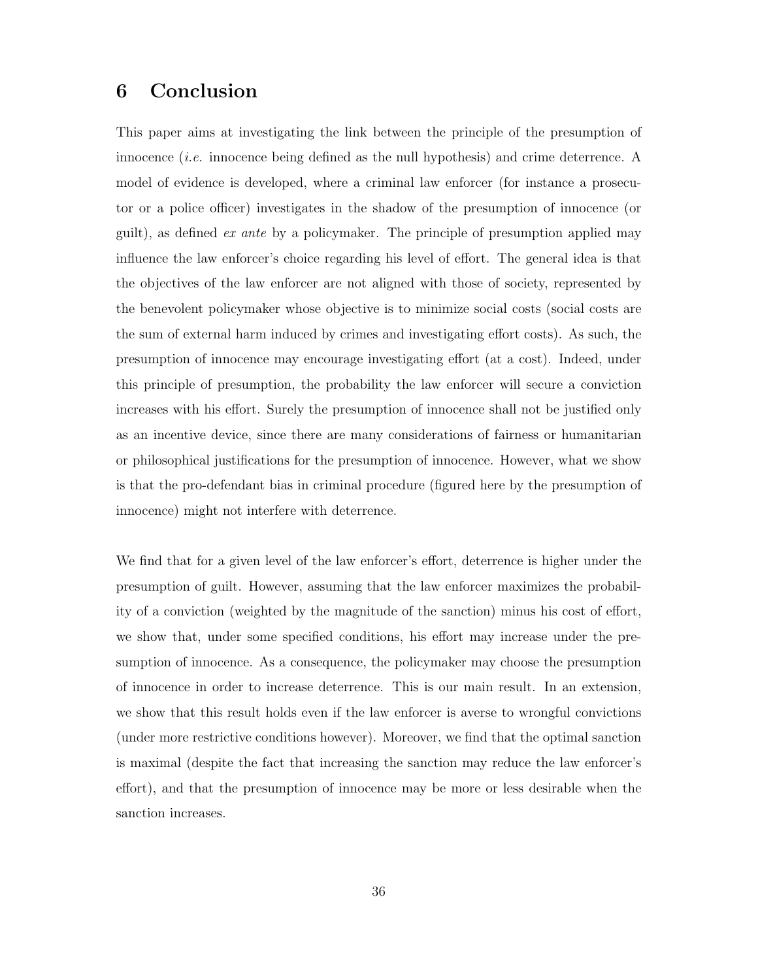# 6 Conclusion

This paper aims at investigating the link between the principle of the presumption of innocence  $(i.e.$  innocence being defined as the null hypothesis) and crime deterrence. A model of evidence is developed, where a criminal law enforcer (for instance a prosecutor or a police officer) investigates in the shadow of the presumption of innocence (or guilt), as defined ex ante by a policymaker. The principle of presumption applied may influence the law enforcer's choice regarding his level of effort. The general idea is that the objectives of the law enforcer are not aligned with those of society, represented by the benevolent policymaker whose objective is to minimize social costs (social costs are the sum of external harm induced by crimes and investigating effort costs). As such, the presumption of innocence may encourage investigating effort (at a cost). Indeed, under this principle of presumption, the probability the law enforcer will secure a conviction increases with his effort. Surely the presumption of innocence shall not be justified only as an incentive device, since there are many considerations of fairness or humanitarian or philosophical justifications for the presumption of innocence. However, what we show is that the pro-defendant bias in criminal procedure (figured here by the presumption of innocence) might not interfere with deterrence.

We find that for a given level of the law enforcer's effort, deterrence is higher under the presumption of guilt. However, assuming that the law enforcer maximizes the probability of a conviction (weighted by the magnitude of the sanction) minus his cost of effort, we show that, under some specified conditions, his effort may increase under the presumption of innocence. As a consequence, the policymaker may choose the presumption of innocence in order to increase deterrence. This is our main result. In an extension, we show that this result holds even if the law enforcer is averse to wrongful convictions (under more restrictive conditions however). Moreover, we find that the optimal sanction is maximal (despite the fact that increasing the sanction may reduce the law enforcer's effort), and that the presumption of innocence may be more or less desirable when the sanction increases.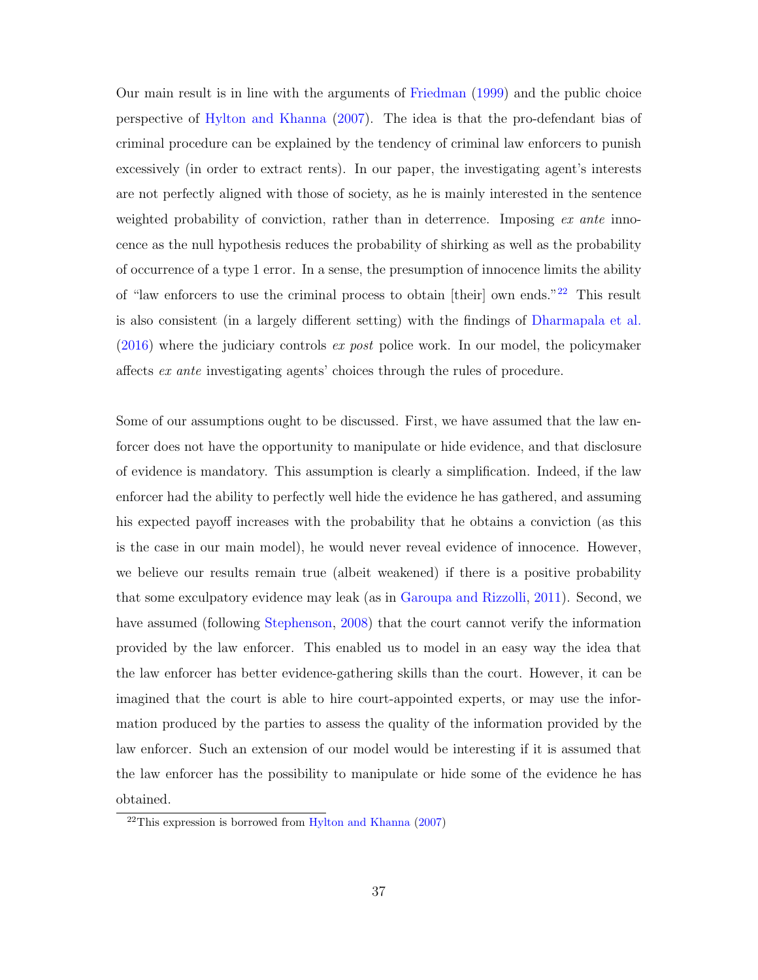Our main result is in line with the arguments of Friedman (1999) and the public choice perspective of Hylton and Khanna (2007). The idea is that the pro-defendant bias of criminal procedure can be explained by the tendency of criminal law enforcers to punish excessively (in order to extract rents). In our paper, the investigating agent's interests are not perfectly aligned with those of society, as he is mainly interested in the sentence weighted probability of conviction, rather than in deterrence. Imposing ex ante innocence as the null hypothesis reduces the probability of shirking as well as the probability of occurrence of a type 1 error. In a sense, the presumption of innocence limits the ability of "law enforcers to use the criminal process to obtain [their] own ends."<sup>22</sup> This result is also consistent (in a largely different setting) with the findings of Dharmapala et al. (2016) where the judiciary controls ex post police work. In our model, the policymaker affects ex ante investigating agents' choices through the rules of procedure.

Some of our assumptions ought to be discussed. First, we have assumed that the law enforcer does not have the opportunity to manipulate or hide evidence, and that disclosure of evidence is mandatory. This assumption is clearly a simplification. Indeed, if the law enforcer had the ability to perfectly well hide the evidence he has gathered, and assuming his expected payoff increases with the probability that he obtains a conviction (as this is the case in our main model), he would never reveal evidence of innocence. However, we believe our results remain true (albeit weakened) if there is a positive probability that some exculpatory evidence may leak (as in Garoupa and Rizzolli, 2011). Second, we have assumed (following Stephenson, 2008) that the court cannot verify the information provided by the law enforcer. This enabled us to model in an easy way the idea that the law enforcer has better evidence-gathering skills than the court. However, it can be imagined that the court is able to hire court-appointed experts, or may use the information produced by the parties to assess the quality of the information provided by the law enforcer. Such an extension of our model would be interesting if it is assumed that the law enforcer has the possibility to manipulate or hide some of the evidence he has obtained.

 $22$ This expression is borrowed from Hylton and Khanna (2007)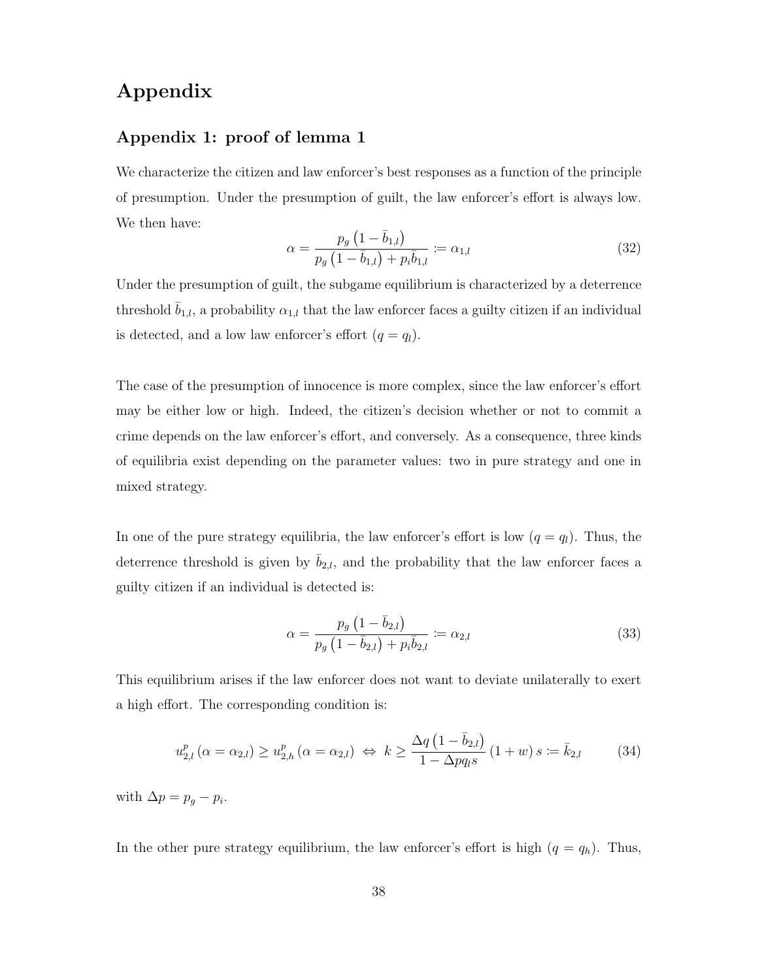# Appendix

### Appendix 1: proof of lemma 1

We characterize the citizen and law enforcer's best responses as a function of the principle of presumption. Under the presumption of guilt, the law enforcer's effort is always low. We then have:

$$
\alpha = \frac{p_g \left(1 - \bar{b}_{1,l}\right)}{p_g \left(1 - \bar{b}_{1,l}\right) + p_i \bar{b}_{1,l}} := \alpha_{1,l} \tag{32}
$$

Under the presumption of guilt, the subgame equilibrium is characterized by a deterrence threshold  $b_{1,l}$ , a probability  $\alpha_{1,l}$  that the law enforcer faces a guilty citizen if an individual is detected, and a low law enforcer's effort  $(q = q_l)$ .

The case of the presumption of innocence is more complex, since the law enforcer's effort may be either low or high. Indeed, the citizen's decision whether or not to commit a crime depends on the law enforcer's effort, and conversely. As a consequence, three kinds of equilibria exist depending on the parameter values: two in pure strategy and one in mixed strategy.

In one of the pure strategy equilibria, the law enforcer's effort is low  $(q = q_l)$ . Thus, the deterrence threshold is given by  $\bar{b}_{2,l}$ , and the probability that the law enforcer faces a guilty citizen if an individual is detected is:

$$
\alpha = \frac{p_g \left(1 - \bar{b}_{2,l}\right)}{p_g \left(1 - \bar{b}_{2,l}\right) + p_i \bar{b}_{2,l}} := \alpha_{2,l} \tag{33}
$$

This equilibrium arises if the law enforcer does not want to deviate unilaterally to exert a high effort. The corresponding condition is:

$$
u_{2,l}^p\left(\alpha = \alpha_{2,l}\right) \ge u_{2,h}^p\left(\alpha = \alpha_{2,l}\right) \iff k \ge \frac{\Delta q\left(1 - \bar{b}_{2,l}\right)}{1 - \Delta pq_l s}\left(1 + w\right)s := \bar{k}_{2,l} \tag{34}
$$

with  $\Delta p = p_g - p_i$ .

In the other pure strategy equilibrium, the law enforcer's effort is high  $(q = q_h)$ . Thus,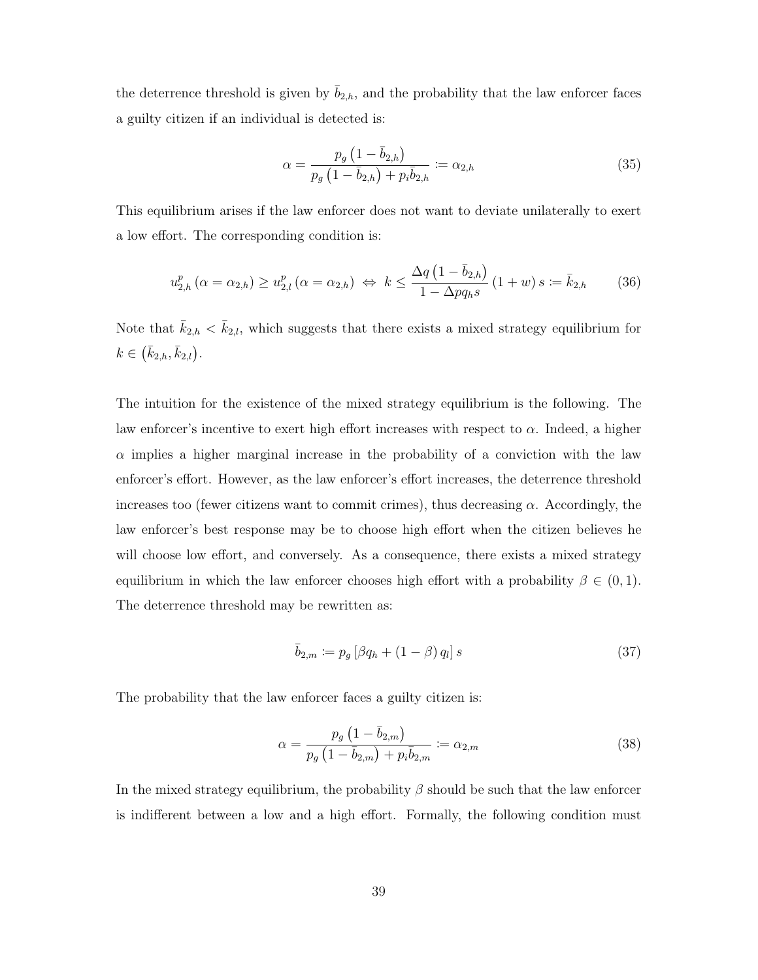the deterrence threshold is given by  $b_{2,h}$ , and the probability that the law enforcer faces a guilty citizen if an individual is detected is:

$$
\alpha = \frac{p_g \left(1 - \bar{b}_{2,h}\right)}{p_g \left(1 - \bar{b}_{2,h}\right) + p_i \bar{b}_{2,h}} := \alpha_{2,h} \tag{35}
$$

This equilibrium arises if the law enforcer does not want to deviate unilaterally to exert a low effort. The corresponding condition is:

$$
u_{2,h}^p\left(\alpha = \alpha_{2,h}\right) \ge u_{2,l}^p\left(\alpha = \alpha_{2,h}\right) \iff k \le \frac{\Delta q\left(1 - \bar{b}_{2,h}\right)}{1 - \Delta pq_h s}\left(1 + w\right)s := \bar{k}_{2,h} \tag{36}
$$

Note that  $\bar{k}_{2,h} < \bar{k}_{2,l}$ , which suggests that there exists a mixed strategy equilibrium for  $k \in (\bar{k}_{2,h}, \bar{k}_{2,l}).$ 

The intuition for the existence of the mixed strategy equilibrium is the following. The law enforcer's incentive to exert high effort increases with respect to  $\alpha$ . Indeed, a higher  $\alpha$  implies a higher marginal increase in the probability of a conviction with the law enforcer's effort. However, as the law enforcer's effort increases, the deterrence threshold increases too (fewer citizens want to commit crimes), thus decreasing  $\alpha$ . Accordingly, the law enforcer's best response may be to choose high effort when the citizen believes he will choose low effort, and conversely. As a consequence, there exists a mixed strategy equilibrium in which the law enforcer chooses high effort with a probability  $\beta \in (0,1)$ . The deterrence threshold may be rewritten as:

$$
\bar{b}_{2,m} := p_g \left[ \beta q_h + (1 - \beta) q_l \right] s \tag{37}
$$

The probability that the law enforcer faces a guilty citizen is:

$$
\alpha = \frac{p_g \left(1 - \bar{b}_{2,m}\right)}{p_g \left(1 - \bar{b}_{2,m}\right) + p_i \bar{b}_{2,m}} := \alpha_{2,m} \tag{38}
$$

In the mixed strategy equilibrium, the probability  $\beta$  should be such that the law enforcer is indifferent between a low and a high effort. Formally, the following condition must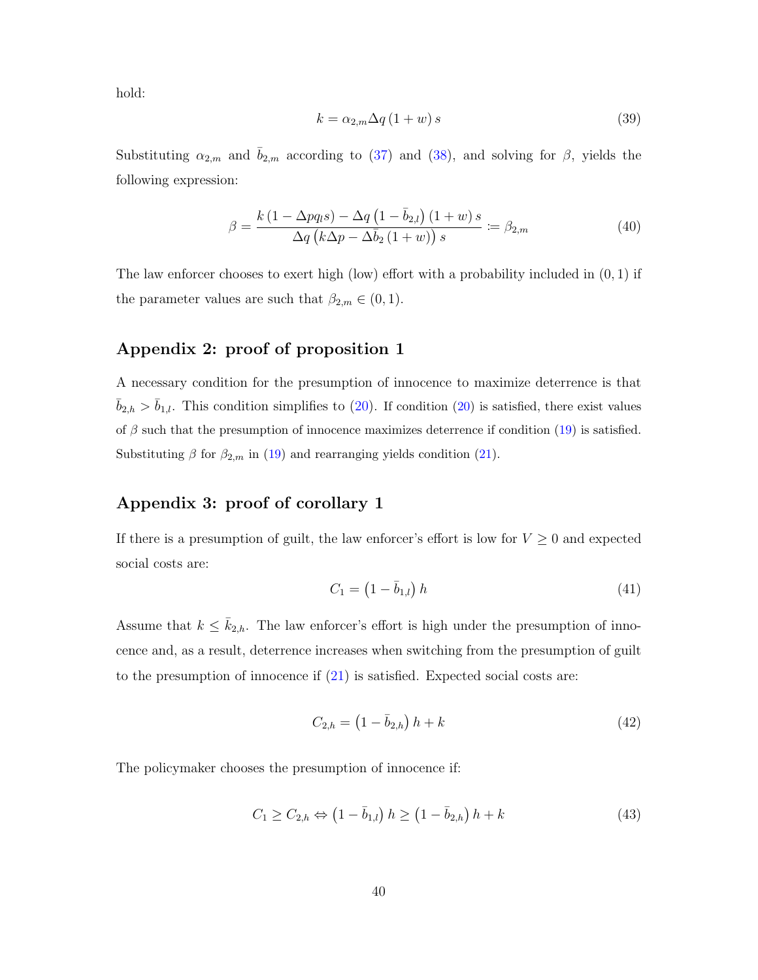hold:

$$
k = \alpha_{2,m} \Delta q \left( 1 + w \right) s \tag{39}
$$

Substituting  $\alpha_{2,m}$  and  $\bar{b}_{2,m}$  according to (37) and (38), and solving for  $\beta$ , yields the following expression:

$$
\beta = \frac{k\left(1 - \Delta pq_l s\right) - \Delta q \left(1 - \bar{b}_{2,l}\right) \left(1 + w\right) s}{\Delta q \left(k\Delta p - \Delta \bar{b}_2 \left(1 + w\right)\right) s} \coloneqq \beta_{2,m} \tag{40}
$$

The law enforcer chooses to exert high (low) effort with a probability included in  $(0, 1)$  if the parameter values are such that  $\beta_{2,m} \in (0,1)$ .

### Appendix 2: proof of proposition 1

A necessary condition for the presumption of innocence to maximize deterrence is that  $\overline{b}_{2,h} > \overline{b}_{1,l}$ . This condition simplifies to (20). If condition (20) is satisfied, there exist values of  $\beta$  such that the presumption of innocence maximizes deterrence if condition (19) is satisfied. Substituting  $\beta$  for  $\beta_{2,m}$  in (19) and rearranging yields condition (21).

## Appendix 3: proof of corollary 1

If there is a presumption of guilt, the law enforcer's effort is low for  $V \geq 0$  and expected social costs are:

$$
C_1 = (1 - \bar{b}_{1,l}) h \tag{41}
$$

Assume that  $k \leq \bar{k}_{2,h}$ . The law enforcer's effort is high under the presumption of innocence and, as a result, deterrence increases when switching from the presumption of guilt to the presumption of innocence if (21) is satisfied. Expected social costs are:

$$
C_{2,h} = (1 - \bar{b}_{2,h}) h + k
$$
\n(42)

The policymaker chooses the presumption of innocence if:

$$
C_1 \ge C_{2,h} \Leftrightarrow (1 - \bar{b}_{1,l}) \ h \ge (1 - \bar{b}_{2,h}) \ h + k \tag{43}
$$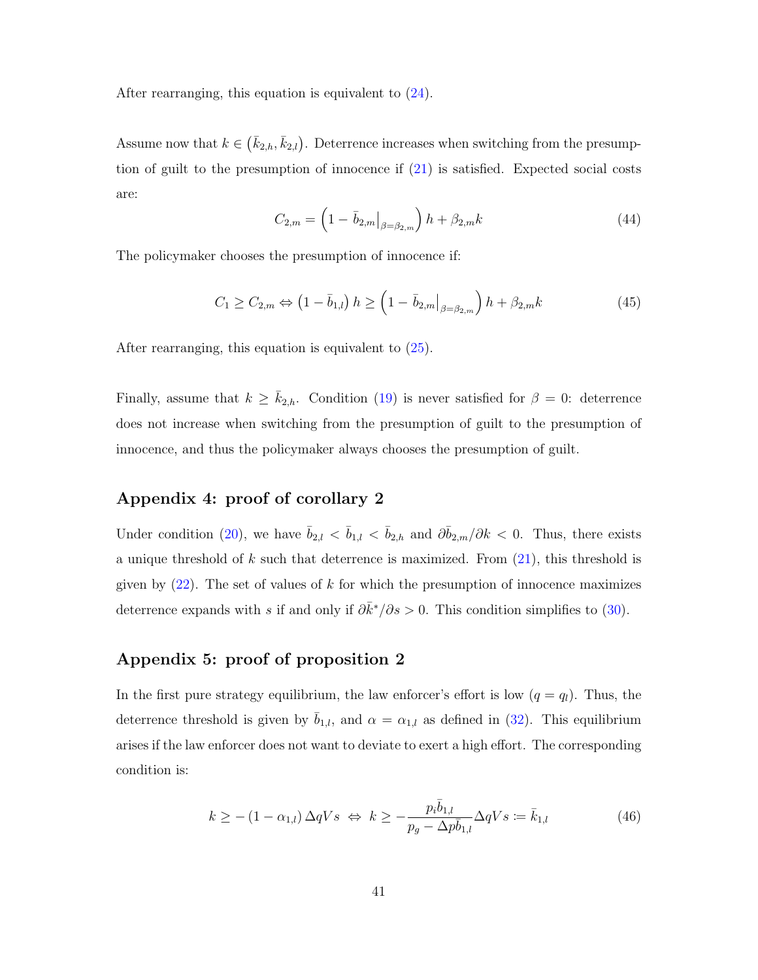After rearranging, this equation is equivalent to  $(24)$ .

Assume now that  $k \in \left(\bar{k}_{2,h}, \bar{k}_{2,l}\right)$ . Deterrence increases when switching from the presumption of guilt to the presumption of innocence if (21) is satisfied. Expected social costs are:

$$
C_{2,m} = \left(1 - \bar{b}_{2,m}\big|_{\beta = \beta_{2,m}}\right)h + \beta_{2,m}k\tag{44}
$$

The policymaker chooses the presumption of innocence if:

$$
C_1 \ge C_{2,m} \Leftrightarrow \left(1 - \bar{b}_{1,l}\right) h \ge \left(1 - \bar{b}_{2,m}\big|_{\beta = \beta_{2,m}}\right) h + \beta_{2,m} k \tag{45}
$$

After rearranging, this equation is equivalent to (25).

Finally, assume that  $k \geq \bar{k}_{2,h}$ . Condition (19) is never satisfied for  $\beta = 0$ : deterrence does not increase when switching from the presumption of guilt to the presumption of innocence, and thus the policymaker always chooses the presumption of guilt.

### Appendix 4: proof of corollary 2

Under condition (20), we have  $\bar{b}_{2,l} < \bar{b}_{1,l} < \bar{b}_{2,h}$  and  $\partial \bar{b}_{2,m}/\partial k < 0$ . Thus, there exists a unique threshold of k such that deterrence is maximized. From  $(21)$ , this threshold is given by  $(22)$ . The set of values of k for which the presumption of innocence maximizes deterrence expands with s if and only if  $\partial \bar{k}^*/\partial s > 0$ . This condition simplifies to (30).

### Appendix 5: proof of proposition 2

In the first pure strategy equilibrium, the law enforcer's effort is low  $(q = q_l)$ . Thus, the deterrence threshold is given by  $\bar{b}_{1,l}$ , and  $\alpha = \alpha_{1,l}$  as defined in (32). This equilibrium arises if the law enforcer does not want to deviate to exert a high effort. The corresponding condition is:

$$
k \geq -(1 - \alpha_{1,l}) \Delta q V s \iff k \geq -\frac{p_i \bar{b}_{1,l}}{p_g - \Delta p \bar{b}_{1,l}} \Delta q V s := \bar{k}_{1,l} \tag{46}
$$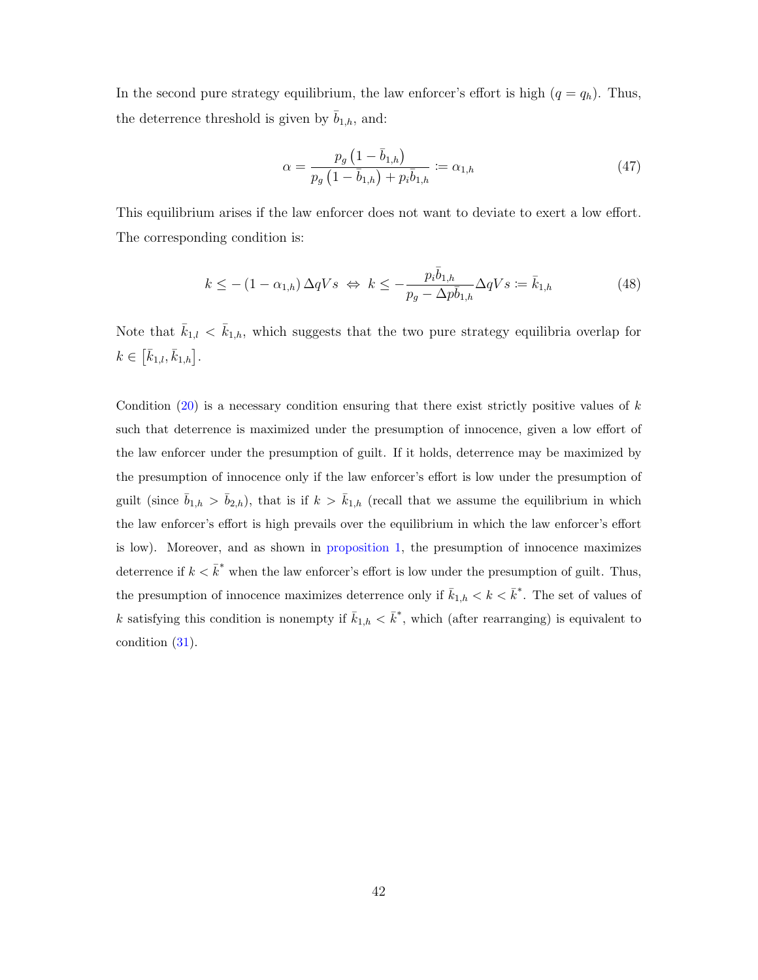In the second pure strategy equilibrium, the law enforcer's effort is high  $(q = q_h)$ . Thus, the deterrence threshold is given by  $\bar{b}_{1,h}$ , and:

$$
\alpha = \frac{p_g \left(1 - \bar{b}_{1,h}\right)}{p_g \left(1 - \bar{b}_{1,h}\right) + p_i \bar{b}_{1,h}} := \alpha_{1,h} \tag{47}
$$

This equilibrium arises if the law enforcer does not want to deviate to exert a low effort. The corresponding condition is:

$$
k \leq -(1 - \alpha_{1,h}) \Delta q V s \iff k \leq -\frac{p_i \bar{b}_{1,h}}{p_g - \Delta p \bar{b}_{1,h}} \Delta q V s := \bar{k}_{1,h}
$$
\n
$$
(48)
$$

Note that  $\bar{k}_{1,l} < \bar{k}_{1,h}$ , which suggests that the two pure strategy equilibria overlap for  $k \in [\bar{k}_{1,l}, \bar{k}_{1,h}].$ 

Condition  $(20)$  is a necessary condition ensuring that there exist strictly positive values of k such that deterrence is maximized under the presumption of innocence, given a low effort of the law enforcer under the presumption of guilt. If it holds, deterrence may be maximized by the presumption of innocence only if the law enforcer's effort is low under the presumption of guilt (since  $\bar{b}_{1,h} > \bar{b}_{2,h}$ ), that is if  $k > \bar{k}_{1,h}$  (recall that we assume the equilibrium in which the law enforcer's effort is high prevails over the equilibrium in which the law enforcer's effort is low). Moreover, and as shown in proposition 1, the presumption of innocence maximizes deterrence if  $k < \bar{k}^*$  when the law enforcer's effort is low under the presumption of guilt. Thus, the presumption of innocence maximizes deterrence only if  $\bar{k}_{1,h} < k < \bar{k}^*$ . The set of values of k satisfying this condition is nonempty if  $\bar{k}_{1,h} < \bar{k}^*$ , which (after rearranging) is equivalent to condition (31).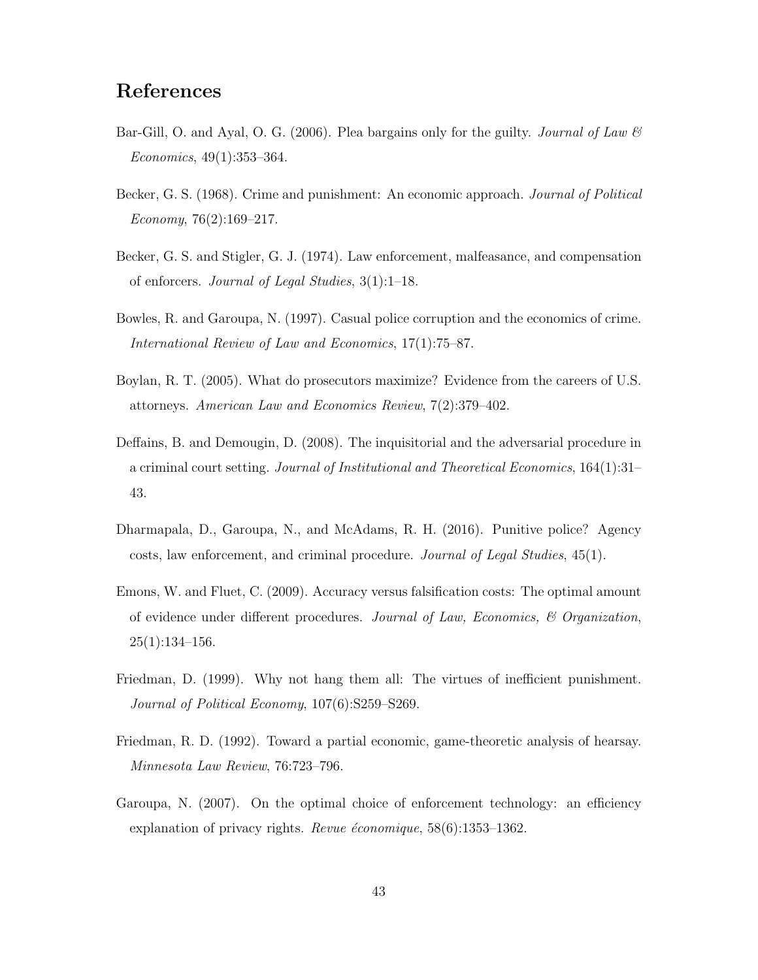# References

- Bar-Gill, O. and Ayal, O. G. (2006). Plea bargains only for the guilty. Journal of Law  $\mathcal C$ Economics, 49(1):353–364.
- Becker, G. S. (1968). Crime and punishment: An economic approach. *Journal of Political* Economy, 76(2):169–217.
- Becker, G. S. and Stigler, G. J. (1974). Law enforcement, malfeasance, and compensation of enforcers. Journal of Legal Studies, 3(1):1–18.
- Bowles, R. and Garoupa, N. (1997). Casual police corruption and the economics of crime. International Review of Law and Economics, 17(1):75–87.
- Boylan, R. T. (2005). What do prosecutors maximize? Evidence from the careers of U.S. attorneys. American Law and Economics Review, 7(2):379–402.
- Deffains, B. and Demougin, D. (2008). The inquisitorial and the adversarial procedure in a criminal court setting. Journal of Institutional and Theoretical Economics, 164(1):31– 43.
- Dharmapala, D., Garoupa, N., and McAdams, R. H. (2016). Punitive police? Agency costs, law enforcement, and criminal procedure. Journal of Legal Studies, 45(1).
- Emons, W. and Fluet, C. (2009). Accuracy versus falsification costs: The optimal amount of evidence under different procedures. Journal of Law, Economics, & Organization,  $25(1):134-156.$
- Friedman, D. (1999). Why not hang them all: The virtues of inefficient punishment. Journal of Political Economy, 107(6):S259–S269.
- Friedman, R. D. (1992). Toward a partial economic, game-theoretic analysis of hearsay. Minnesota Law Review, 76:723–796.
- Garoupa, N. (2007). On the optimal choice of enforcement technology: an efficiency explanation of privacy rights. Revue  $\acute{e}conomique$ , 58(6):1353–1362.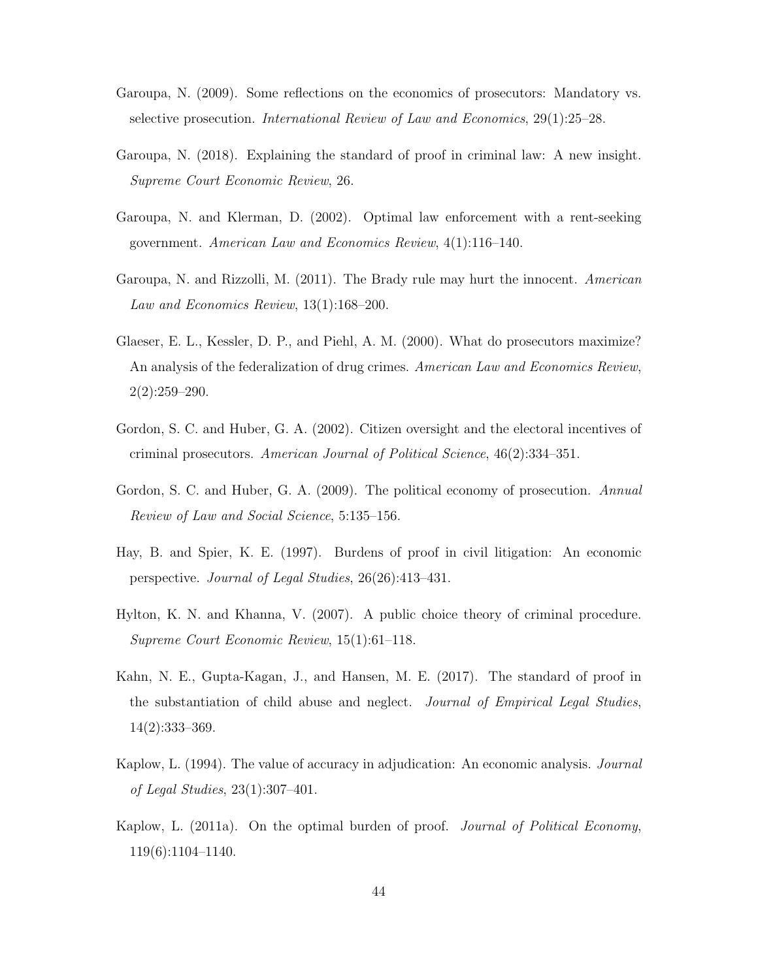- Garoupa, N. (2009). Some reflections on the economics of prosecutors: Mandatory vs. selective prosecution. International Review of Law and Economics, 29(1):25–28.
- Garoupa, N. (2018). Explaining the standard of proof in criminal law: A new insight. Supreme Court Economic Review, 26.
- Garoupa, N. and Klerman, D. (2002). Optimal law enforcement with a rent-seeking government. American Law and Economics Review, 4(1):116–140.
- Garoupa, N. and Rizzolli, M. (2011). The Brady rule may hurt the innocent. American Law and Economics Review, 13(1):168–200.
- Glaeser, E. L., Kessler, D. P., and Piehl, A. M. (2000). What do prosecutors maximize? An analysis of the federalization of drug crimes. American Law and Economics Review,  $2(2):259-290.$
- Gordon, S. C. and Huber, G. A. (2002). Citizen oversight and the electoral incentives of criminal prosecutors. American Journal of Political Science, 46(2):334–351.
- Gordon, S. C. and Huber, G. A. (2009). The political economy of prosecution. Annual Review of Law and Social Science, 5:135–156.
- Hay, B. and Spier, K. E. (1997). Burdens of proof in civil litigation: An economic perspective. Journal of Legal Studies, 26(26):413–431.
- Hylton, K. N. and Khanna, V. (2007). A public choice theory of criminal procedure. Supreme Court Economic Review, 15(1):61–118.
- Kahn, N. E., Gupta-Kagan, J., and Hansen, M. E. (2017). The standard of proof in the substantiation of child abuse and neglect. Journal of Empirical Legal Studies, 14(2):333–369.
- Kaplow, L. (1994). The value of accuracy in adjudication: An economic analysis. Journal of Legal Studies, 23(1):307–401.
- Kaplow, L. (2011a). On the optimal burden of proof. *Journal of Political Economy*, 119(6):1104–1140.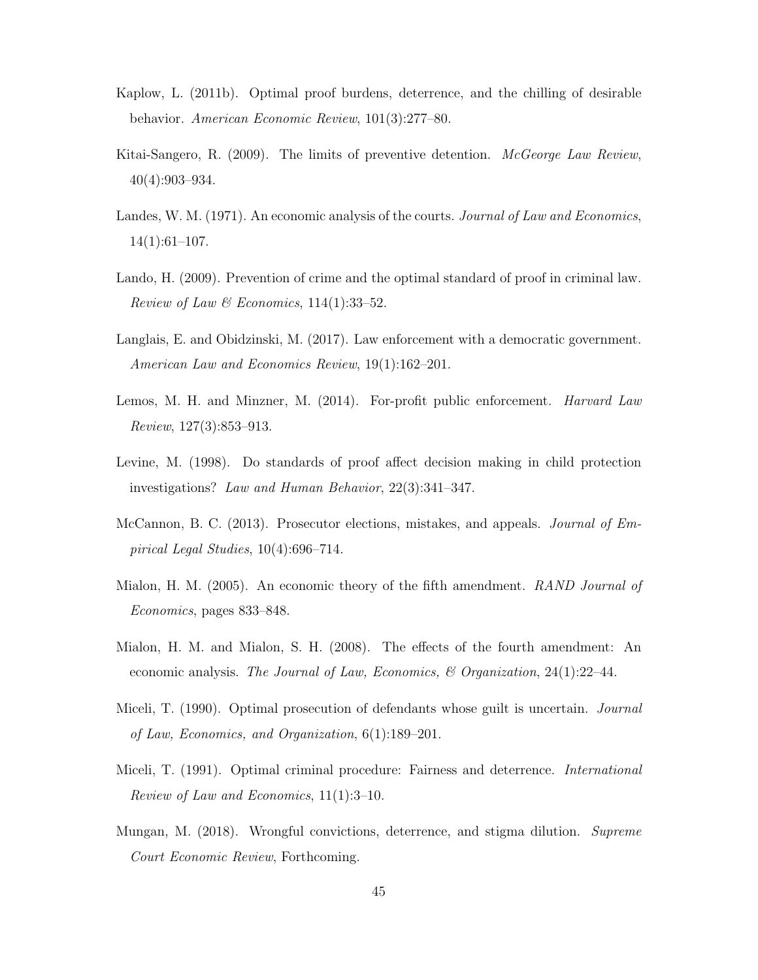- Kaplow, L. (2011b). Optimal proof burdens, deterrence, and the chilling of desirable behavior. American Economic Review, 101(3):277–80.
- Kitai-Sangero, R. (2009). The limits of preventive detention. McGeorge Law Review, 40(4):903–934.
- Landes, W. M. (1971). An economic analysis of the courts. Journal of Law and Economics,  $14(1):61-107.$
- Lando, H. (2009). Prevention of crime and the optimal standard of proof in criminal law. Review of Law & Economics,  $114(1):33-52$ .
- Langlais, E. and Obidzinski, M. (2017). Law enforcement with a democratic government. American Law and Economics Review, 19(1):162–201.
- Lemos, M. H. and Minzner, M. (2014). For-profit public enforcement. *Harvard Law* Review, 127(3):853–913.
- Levine, M. (1998). Do standards of proof affect decision making in child protection investigations? Law and Human Behavior, 22(3):341–347.
- McCannon, B. C. (2013). Prosecutor elections, mistakes, and appeals. *Journal of Em*pirical Legal Studies, 10(4):696–714.
- Mialon, H. M. (2005). An economic theory of the fifth amendment. RAND Journal of Economics, pages 833–848.
- Mialon, H. M. and Mialon, S. H. (2008). The effects of the fourth amendment: An economic analysis. The Journal of Law, Economics,  $\mathcal{B}$  Organization, 24(1):22–44.
- Miceli, T. (1990). Optimal prosecution of defendants whose guilt is uncertain. *Journal* of Law, Economics, and Organization, 6(1):189–201.
- Miceli, T. (1991). Optimal criminal procedure: Fairness and deterrence. *International* Review of Law and Economics, 11(1):3–10.
- Mungan, M. (2018). Wrongful convictions, deterrence, and stigma dilution. Supreme Court Economic Review, Forthcoming.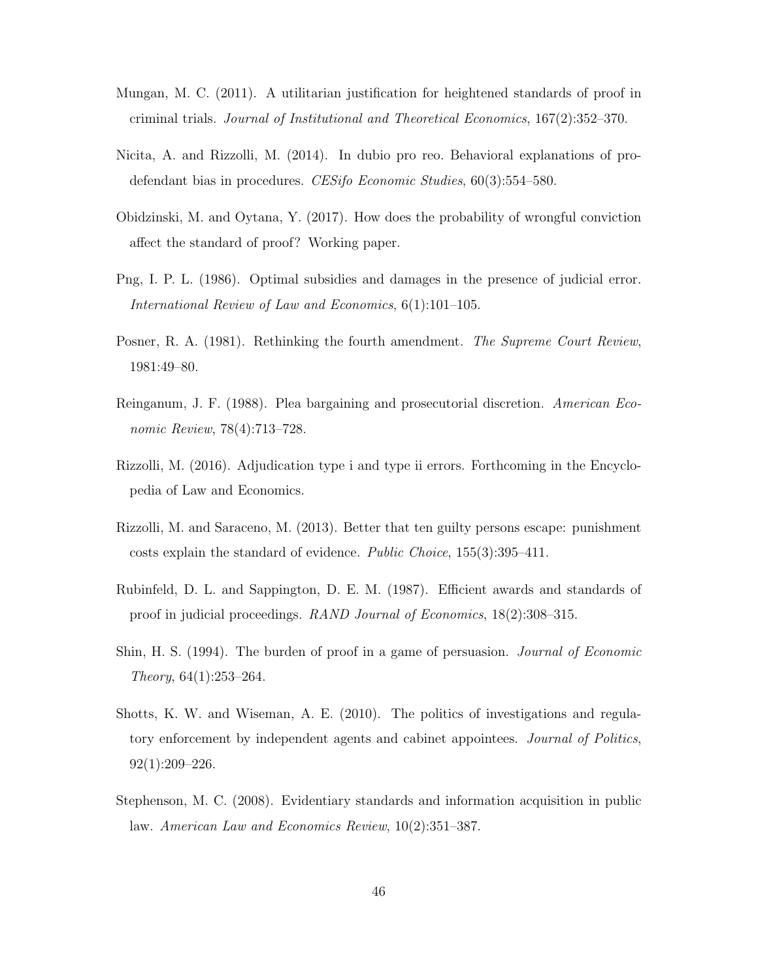- Mungan, M. C. (2011). A utilitarian justification for heightened standards of proof in criminal trials. Journal of Institutional and Theoretical Economics, 167(2):352–370.
- Nicita, A. and Rizzolli, M. (2014). In dubio pro reo. Behavioral explanations of prodefendant bias in procedures. CESifo Economic Studies, 60(3):554–580.
- Obidzinski, M. and Oytana, Y. (2017). How does the probability of wrongful conviction affect the standard of proof? Working paper.
- Png, I. P. L. (1986). Optimal subsidies and damages in the presence of judicial error. International Review of Law and Economics, 6(1):101–105.
- Posner, R. A. (1981). Rethinking the fourth amendment. The Supreme Court Review, 1981:49–80.
- Reinganum, J. F. (1988). Plea bargaining and prosecutorial discretion. American Economic Review, 78(4):713–728.
- Rizzolli, M. (2016). Adjudication type i and type ii errors. Forthcoming in the Encyclopedia of Law and Economics.
- Rizzolli, M. and Saraceno, M. (2013). Better that ten guilty persons escape: punishment costs explain the standard of evidence. Public Choice, 155(3):395–411.
- Rubinfeld, D. L. and Sappington, D. E. M. (1987). Efficient awards and standards of proof in judicial proceedings. RAND Journal of Economics, 18(2):308–315.
- Shin, H. S. (1994). The burden of proof in a game of persuasion. Journal of Economic Theory, 64(1):253–264.
- Shotts, K. W. and Wiseman, A. E. (2010). The politics of investigations and regulatory enforcement by independent agents and cabinet appointees. Journal of Politics, 92(1):209–226.
- Stephenson, M. C. (2008). Evidentiary standards and information acquisition in public law. American Law and Economics Review, 10(2):351–387.